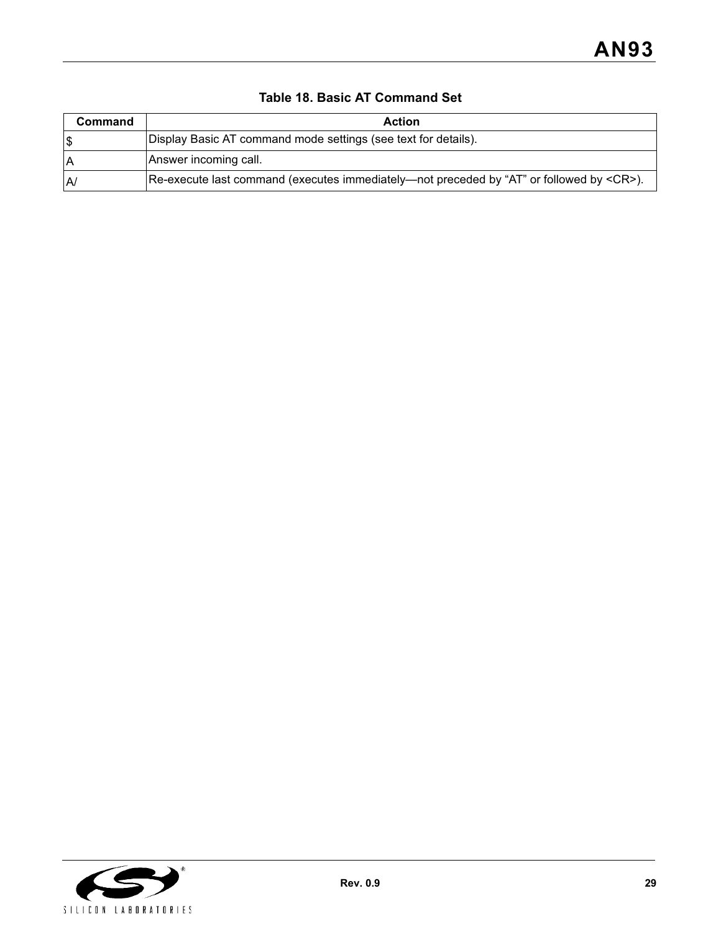| Command | Action                                                                                                                 |  |  |
|---------|------------------------------------------------------------------------------------------------------------------------|--|--|
| 1\$     | Display Basic AT command mode settings (see text for details).                                                         |  |  |
| ۱A      | Answer incoming call.                                                                                                  |  |  |
| IA/     | $[Re\text{-}execute\text{ last command (executes immediately—not preceded by "AT" or followed by \langle CR \rangle).$ |  |  |

## **Table 18. Basic AT Command Set**

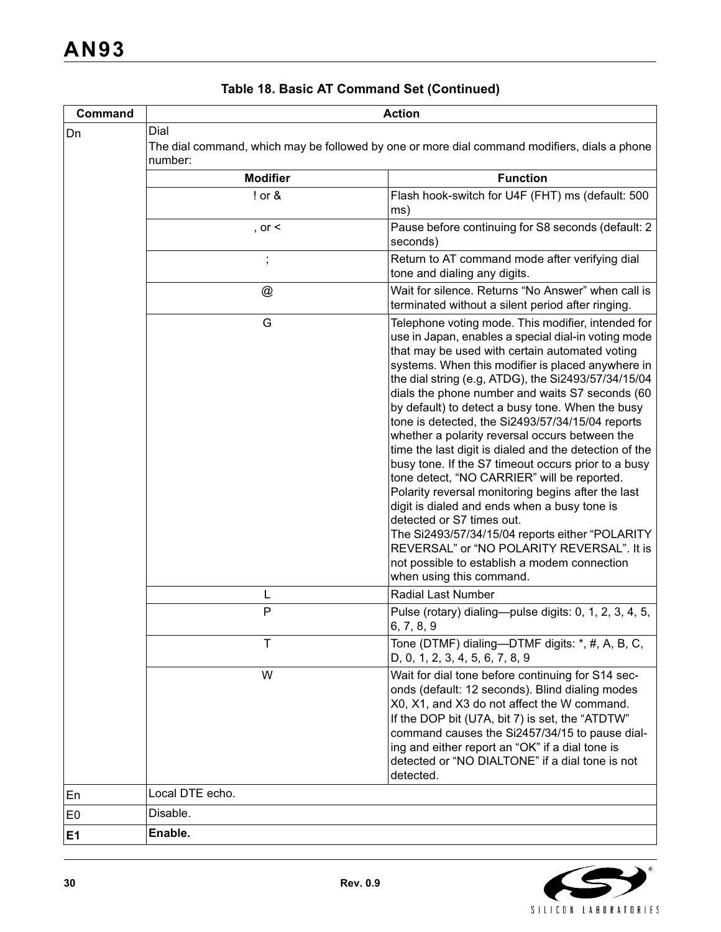| Command        | <b>Action</b>                                                                                                   |                                                                                                                                                                                                                                                                                                                                                                                                                                                                                                                                                                                                                                                                                                                                                                                                                                                                                                                                                                      |  |  |
|----------------|-----------------------------------------------------------------------------------------------------------------|----------------------------------------------------------------------------------------------------------------------------------------------------------------------------------------------------------------------------------------------------------------------------------------------------------------------------------------------------------------------------------------------------------------------------------------------------------------------------------------------------------------------------------------------------------------------------------------------------------------------------------------------------------------------------------------------------------------------------------------------------------------------------------------------------------------------------------------------------------------------------------------------------------------------------------------------------------------------|--|--|
| Dn             | Dial<br>The dial command, which may be followed by one or more dial command modifiers, dials a phone<br>number: |                                                                                                                                                                                                                                                                                                                                                                                                                                                                                                                                                                                                                                                                                                                                                                                                                                                                                                                                                                      |  |  |
|                | <b>Modifier</b>                                                                                                 | <b>Function</b>                                                                                                                                                                                                                                                                                                                                                                                                                                                                                                                                                                                                                                                                                                                                                                                                                                                                                                                                                      |  |  |
|                | ! or &                                                                                                          | Flash hook-switch for U4F (FHT) ms (default: 500<br>ms)                                                                                                                                                                                                                                                                                                                                                                                                                                                                                                                                                                                                                                                                                                                                                                                                                                                                                                              |  |  |
|                | , or $\leq$                                                                                                     | Pause before continuing for S8 seconds (default: 2<br>seconds)                                                                                                                                                                                                                                                                                                                                                                                                                                                                                                                                                                                                                                                                                                                                                                                                                                                                                                       |  |  |
|                | $\vdots$                                                                                                        | Return to AT command mode after verifying dial<br>tone and dialing any digits.                                                                                                                                                                                                                                                                                                                                                                                                                                                                                                                                                                                                                                                                                                                                                                                                                                                                                       |  |  |
|                | @                                                                                                               | Wait for silence. Returns "No Answer" when call is<br>terminated without a silent period after ringing.                                                                                                                                                                                                                                                                                                                                                                                                                                                                                                                                                                                                                                                                                                                                                                                                                                                              |  |  |
|                | G                                                                                                               | Telephone voting mode. This modifier, intended for<br>use in Japan, enables a special dial-in voting mode<br>that may be used with certain automated voting<br>systems. When this modifier is placed anywhere in<br>the dial string (e.g, ATDG), the Si2493/57/34/15/04<br>dials the phone number and waits S7 seconds (60<br>by default) to detect a busy tone. When the busy<br>tone is detected, the Si2493/57/34/15/04 reports<br>whether a polarity reversal occurs between the<br>time the last digit is dialed and the detection of the<br>busy tone. If the S7 timeout occurs prior to a busy<br>tone detect, "NO CARRIER" will be reported.<br>Polarity reversal monitoring begins after the last<br>digit is dialed and ends when a busy tone is<br>detected or S7 times out.<br>The Si2493/57/34/15/04 reports either "POLARITY<br>REVERSAL" or "NO POLARITY REVERSAL". It is<br>not possible to establish a modem connection<br>when using this command. |  |  |
|                | L<br>P                                                                                                          | <b>Radial Last Number</b><br>Pulse (rotary) dialing—pulse digits: 0, 1, 2, 3, 4, 5,                                                                                                                                                                                                                                                                                                                                                                                                                                                                                                                                                                                                                                                                                                                                                                                                                                                                                  |  |  |
|                |                                                                                                                 | 6, 7, 8, 9                                                                                                                                                                                                                                                                                                                                                                                                                                                                                                                                                                                                                                                                                                                                                                                                                                                                                                                                                           |  |  |
|                | T                                                                                                               | Tone (DTMF) dialing--DTMF digits: *, #, A, B, C,<br>D, 0, 1, 2, 3, 4, 5, 6, 7, 8, 9                                                                                                                                                                                                                                                                                                                                                                                                                                                                                                                                                                                                                                                                                                                                                                                                                                                                                  |  |  |
|                | W                                                                                                               | Wait for dial tone before continuing for S14 sec-<br>onds (default: 12 seconds). Blind dialing modes<br>X0, X1, and X3 do not affect the W command.<br>If the DOP bit (U7A, bit 7) is set, the "ATDTW"<br>command causes the Si2457/34/15 to pause dial-<br>ing and either report an "OK" if a dial tone is<br>detected or "NO DIALTONE" if a dial tone is not<br>detected.                                                                                                                                                                                                                                                                                                                                                                                                                                                                                                                                                                                          |  |  |
| En             | Local DTE echo.                                                                                                 |                                                                                                                                                                                                                                                                                                                                                                                                                                                                                                                                                                                                                                                                                                                                                                                                                                                                                                                                                                      |  |  |
| E <sub>0</sub> | Disable.                                                                                                        |                                                                                                                                                                                                                                                                                                                                                                                                                                                                                                                                                                                                                                                                                                                                                                                                                                                                                                                                                                      |  |  |
| E1             | Enable.                                                                                                         |                                                                                                                                                                                                                                                                                                                                                                                                                                                                                                                                                                                                                                                                                                                                                                                                                                                                                                                                                                      |  |  |

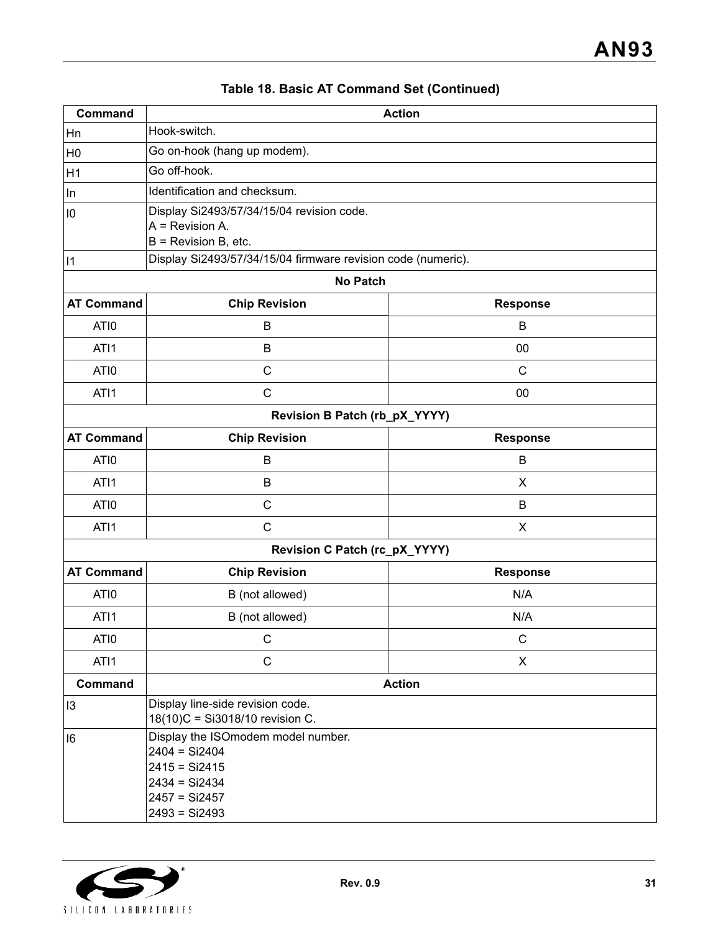| Command           | <b>Action</b>                                                                                                                      |                 |  |  |
|-------------------|------------------------------------------------------------------------------------------------------------------------------------|-----------------|--|--|
| Hn                | Hook-switch.                                                                                                                       |                 |  |  |
| H <sub>0</sub>    | Go on-hook (hang up modem).                                                                                                        |                 |  |  |
| H1                | Go off-hook.                                                                                                                       |                 |  |  |
| In                | Identification and checksum.                                                                                                       |                 |  |  |
| $\overline{10}$   | Display Si2493/57/34/15/04 revision code.<br>$A =$ Revision A.                                                                     |                 |  |  |
|                   | $B =$ Revision B, etc.                                                                                                             |                 |  |  |
| $\vert$ 1         | Display Si2493/57/34/15/04 firmware revision code (numeric).                                                                       |                 |  |  |
|                   | <b>No Patch</b>                                                                                                                    |                 |  |  |
| <b>AT Command</b> | <b>Chip Revision</b>                                                                                                               | <b>Response</b> |  |  |
| ATI0              | B                                                                                                                                  | B               |  |  |
| ATI1              | B                                                                                                                                  | 00              |  |  |
| ATI0              | C                                                                                                                                  | $\mathsf{C}$    |  |  |
| ATI1              | $\mathsf{C}$                                                                                                                       | 00              |  |  |
|                   | Revision B Patch (rb_pX_YYYY)                                                                                                      |                 |  |  |
| <b>AT Command</b> | <b>Chip Revision</b>                                                                                                               | <b>Response</b> |  |  |
| ATI0              | B                                                                                                                                  | B               |  |  |
| ATI1              | B                                                                                                                                  | X               |  |  |
| ATI0              | $\mathsf{C}$                                                                                                                       | B               |  |  |
| ATI1              | $\mathsf{C}$                                                                                                                       | X               |  |  |
|                   | Revision C Patch (rc_pX_YYYY)                                                                                                      |                 |  |  |
| <b>AT Command</b> | <b>Chip Revision</b>                                                                                                               | <b>Response</b> |  |  |
| ATI0              | B (not allowed)                                                                                                                    | N/A             |  |  |
| ATI1              | B (not allowed)                                                                                                                    | N/A             |  |  |
| ATI0              | $\mathsf C$                                                                                                                        | $\mathsf C$     |  |  |
| ATI1              | $\mathsf C$                                                                                                                        | X               |  |  |
| <b>Command</b>    | <b>Action</b>                                                                                                                      |                 |  |  |
| 13                | Display line-side revision code.<br>18(10)C = Si3018/10 revision C.                                                                |                 |  |  |
| 16                | Display the ISO modem model number.<br>$2404 = Si2404$<br>$2415 = Si2415$<br>$2434 = Si2434$<br>$2457 = Si2457$<br>$2493 = Si2493$ |                 |  |  |

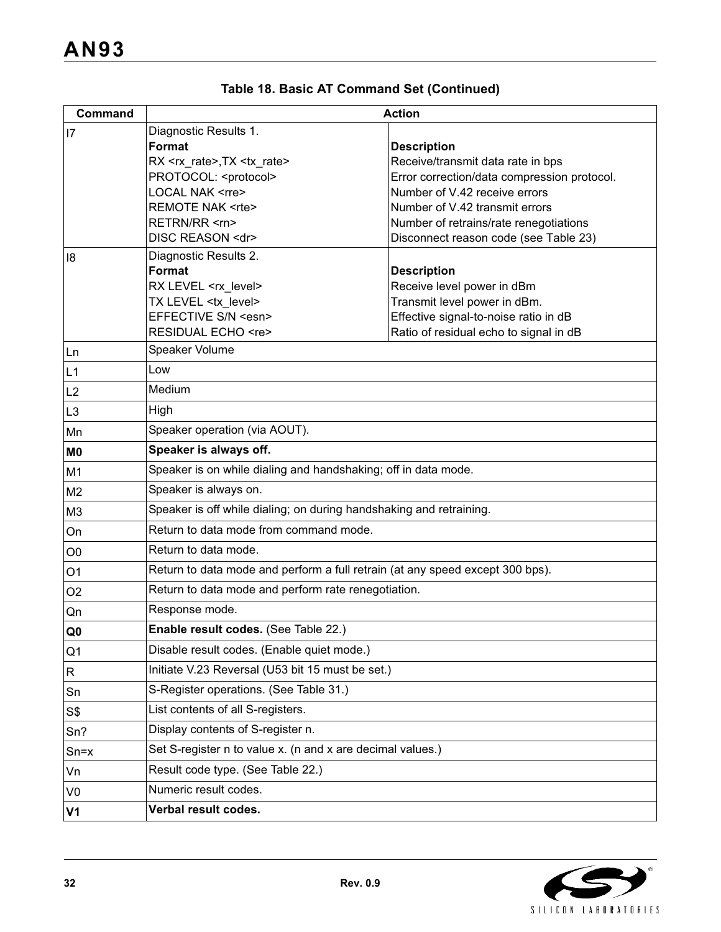| Command        | <b>Action</b>                                                                     |                                                                                  |  |  |
|----------------|-----------------------------------------------------------------------------------|----------------------------------------------------------------------------------|--|--|
| 7              | Diagnostic Results 1.                                                             |                                                                                  |  |  |
|                | Format                                                                            | <b>Description</b>                                                               |  |  |
|                | RX <rx_rate>,TX <tx_rate><br/>PROTOCOL: <protocol></protocol></tx_rate></rx_rate> | Receive/transmit data rate in bps<br>Error correction/data compression protocol. |  |  |
|                | <b>LOCAL NAK <rre></rre></b>                                                      | Number of V.42 receive errors                                                    |  |  |
|                | <b>REMOTE NAK <rte></rte></b>                                                     | Number of V.42 transmit errors                                                   |  |  |
|                | RETRN/RR <rn></rn>                                                                | Number of retrains/rate renegotiations                                           |  |  |
|                | DISC REASON <dr></dr>                                                             | Disconnect reason code (see Table 23)                                            |  |  |
| 18             | Diagnostic Results 2.                                                             |                                                                                  |  |  |
|                | Format                                                                            | <b>Description</b>                                                               |  |  |
|                | RX LEVEL <rx_level><br/>TX LEVEL <tx level=""></tx></rx_level>                    | Receive level power in dBm<br>Transmit level power in dBm.                       |  |  |
|                | EFFECTIVE S/N <esn></esn>                                                         | Effective signal-to-noise ratio in dB                                            |  |  |
|                | RESIDUAL ECHO <re></re>                                                           | Ratio of residual echo to signal in dB                                           |  |  |
| Ln             | Speaker Volume                                                                    |                                                                                  |  |  |
| L1             | Low                                                                               |                                                                                  |  |  |
| L2             | Medium                                                                            |                                                                                  |  |  |
| L <sub>3</sub> | High                                                                              |                                                                                  |  |  |
| Mn             | Speaker operation (via AOUT).                                                     |                                                                                  |  |  |
| M0             | Speaker is always off.                                                            |                                                                                  |  |  |
| M <sub>1</sub> | Speaker is on while dialing and handshaking; off in data mode.                    |                                                                                  |  |  |
| M <sub>2</sub> | Speaker is always on.                                                             |                                                                                  |  |  |
| M <sub>3</sub> | Speaker is off while dialing; on during handshaking and retraining.               |                                                                                  |  |  |
| On             | Return to data mode from command mode.                                            |                                                                                  |  |  |
| O <sub>0</sub> | Return to data mode.                                                              |                                                                                  |  |  |
| O <sub>1</sub> | Return to data mode and perform a full retrain (at any speed except 300 bps).     |                                                                                  |  |  |
| O <sub>2</sub> | Return to data mode and perform rate renegotiation.                               |                                                                                  |  |  |
| Qn             | Response mode.                                                                    |                                                                                  |  |  |
| ${\bf Q0}$     | Enable result codes. (See Table 22.)                                              |                                                                                  |  |  |
| Q <sub>1</sub> | Disable result codes. (Enable quiet mode.)                                        |                                                                                  |  |  |
| R              | Initiate V.23 Reversal (U53 bit 15 must be set.)                                  |                                                                                  |  |  |
| Sn             | S-Register operations. (See Table 31.)                                            |                                                                                  |  |  |
| S\$            | List contents of all S-registers.                                                 |                                                                                  |  |  |
| Sn?            | Display contents of S-register n.                                                 |                                                                                  |  |  |
| $Sn = x$       | Set S-register n to value x. (n and x are decimal values.)                        |                                                                                  |  |  |
| Vn             | Result code type. (See Table 22.)                                                 |                                                                                  |  |  |
| V <sub>0</sub> | Numeric result codes.                                                             |                                                                                  |  |  |
| V <sub>1</sub> | Verbal result codes.                                                              |                                                                                  |  |  |

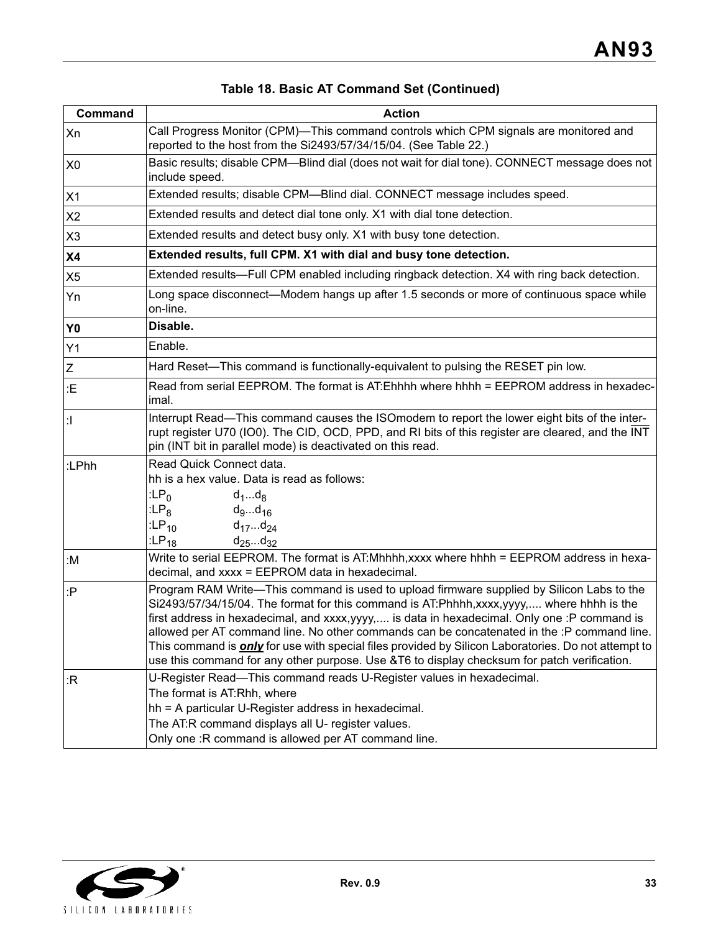| Command        | <b>Action</b>                                                                                                                                                                                                                                                                                                                                                                                                                                                                                                                                                                                    |  |  |  |
|----------------|--------------------------------------------------------------------------------------------------------------------------------------------------------------------------------------------------------------------------------------------------------------------------------------------------------------------------------------------------------------------------------------------------------------------------------------------------------------------------------------------------------------------------------------------------------------------------------------------------|--|--|--|
| Xn             | Call Progress Monitor (CPM)-This command controls which CPM signals are monitored and<br>reported to the host from the Si2493/57/34/15/04. (See Table 22.)                                                                                                                                                                                                                                                                                                                                                                                                                                       |  |  |  |
| X <sub>0</sub> | Basic results; disable CPM—Blind dial (does not wait for dial tone). CONNECT message does not<br>include speed.                                                                                                                                                                                                                                                                                                                                                                                                                                                                                  |  |  |  |
| X1             | Extended results; disable CPM-Blind dial. CONNECT message includes speed.                                                                                                                                                                                                                                                                                                                                                                                                                                                                                                                        |  |  |  |
| X2             | Extended results and detect dial tone only. X1 with dial tone detection.                                                                                                                                                                                                                                                                                                                                                                                                                                                                                                                         |  |  |  |
| X <sub>3</sub> | Extended results and detect busy only. X1 with busy tone detection.                                                                                                                                                                                                                                                                                                                                                                                                                                                                                                                              |  |  |  |
| <b>X4</b>      | Extended results, full CPM. X1 with dial and busy tone detection.                                                                                                                                                                                                                                                                                                                                                                                                                                                                                                                                |  |  |  |
| X <sub>5</sub> | Extended results—Full CPM enabled including ringback detection. X4 with ring back detection.                                                                                                                                                                                                                                                                                                                                                                                                                                                                                                     |  |  |  |
| Yn             | Long space disconnect—Modem hangs up after 1.5 seconds or more of continuous space while<br>on-line.                                                                                                                                                                                                                                                                                                                                                                                                                                                                                             |  |  |  |
| Y <sub>0</sub> | Disable.                                                                                                                                                                                                                                                                                                                                                                                                                                                                                                                                                                                         |  |  |  |
| Y1             | Enable.                                                                                                                                                                                                                                                                                                                                                                                                                                                                                                                                                                                          |  |  |  |
| Z              | Hard Reset—This command is functionally-equivalent to pulsing the RESET pin low.                                                                                                                                                                                                                                                                                                                                                                                                                                                                                                                 |  |  |  |
| :E             | Read from serial EEPROM. The format is AT: Ehhhh where hhhh = EEPROM address in hexadec-<br>imal.                                                                                                                                                                                                                                                                                                                                                                                                                                                                                                |  |  |  |
| $\mathbf{d}$   | Interrupt Read-This command causes the ISOmodem to report the lower eight bits of the inter-<br>rupt register U70 (IO0). The CID, OCD, PPD, and RI bits of this register are cleared, and the INT<br>pin (INT bit in parallel mode) is deactivated on this read.                                                                                                                                                                                                                                                                                                                                 |  |  |  |
| :LPhh          | Read Quick Connect data.<br>hh is a hex value. Data is read as follows:<br>: $LP0$<br>$d_1d_8$<br>:LP <sub>8</sub><br>$d_9d_{16}$<br>:LP <sub>10</sub><br>$d_{17}d_{24}$<br>: $LP_{18}$<br>$d_{25}d_{32}$                                                                                                                                                                                                                                                                                                                                                                                        |  |  |  |
| :M             | Write to serial EEPROM. The format is AT:Mhhhh, xxxx where hhhh = EEPROM address in hexa-<br>decimal, and xxxx = EEPROM data in hexadecimal.                                                                                                                                                                                                                                                                                                                                                                                                                                                     |  |  |  |
| :P             | Program RAM Write-This command is used to upload firmware supplied by Silicon Labs to the<br>Si2493/57/34/15/04. The format for this command is AT:Phhhh,xxxx,yyyy, where hhhh is the<br>first address in hexadecimal, and xxxx, yyyy, is data in hexadecimal. Only one :P command is<br>allowed per AT command line. No other commands can be concatenated in the :P command line.<br>This command is <b>only</b> for use with special files provided by Silicon Laboratories. Do not attempt to<br>use this command for any other purpose. Use &T6 to display checksum for patch verification. |  |  |  |
| :R             | U-Register Read-This command reads U-Register values in hexadecimal.<br>The format is AT:Rhh, where<br>hh = A particular U-Register address in hexadecimal.<br>The AT:R command displays all U- register values.<br>Only one : R command is allowed per AT command line.                                                                                                                                                                                                                                                                                                                         |  |  |  |

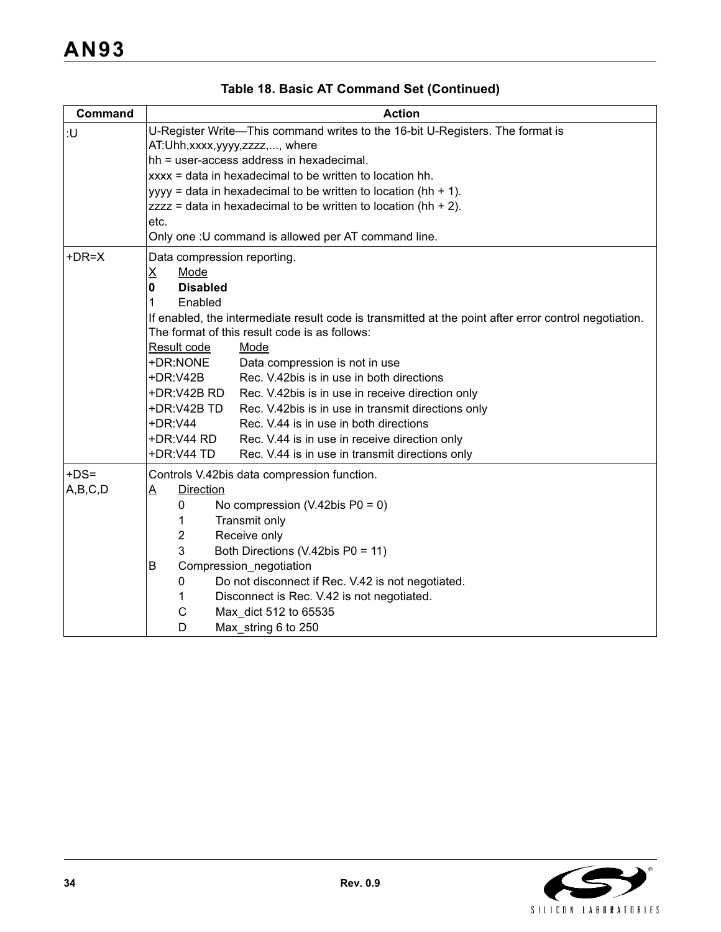| <b>Command</b> | <b>Action</b>                                                                                                                                          |  |  |
|----------------|--------------------------------------------------------------------------------------------------------------------------------------------------------|--|--|
| :U             | U-Register Write-This command writes to the 16-bit U-Registers. The format is<br>AT: Uhh, xxxx, yyyy, zzzz, , where                                    |  |  |
|                | hh = user-access address in hexadecimal.                                                                                                               |  |  |
|                | xxxx = data in hexadecimal to be written to location hh.                                                                                               |  |  |
|                | yyyy = data in hexadecimal to be written to location (hh + 1).                                                                                         |  |  |
|                | $zzzz =$ data in hexadecimal to be written to location (hh + 2).                                                                                       |  |  |
|                | etc.                                                                                                                                                   |  |  |
|                | Only one : U command is allowed per AT command line.                                                                                                   |  |  |
| $+DR=X$        | Data compression reporting.                                                                                                                            |  |  |
|                | $\underline{\mathsf{X}}$<br>Mode                                                                                                                       |  |  |
|                | <b>Disabled</b><br>0                                                                                                                                   |  |  |
|                | 1<br>Enabled                                                                                                                                           |  |  |
|                | If enabled, the intermediate result code is transmitted at the point after error control negotiation.<br>The format of this result code is as follows: |  |  |
|                | Result code<br>Mode                                                                                                                                    |  |  |
|                | +DR:NONE<br>Data compression is not in use                                                                                                             |  |  |
|                | +DR:V42B<br>Rec. V.42bis is in use in both directions                                                                                                  |  |  |
|                | +DR:V42B RD<br>Rec. V.42bis is in use in receive direction only                                                                                        |  |  |
|                | +DR:V42B TD<br>Rec. V.42bis is in use in transmit directions only                                                                                      |  |  |
|                | Rec. V.44 is in use in both directions<br>+DR:V44                                                                                                      |  |  |
|                | +DR:V44 RD<br>Rec. V.44 is in use in receive direction only                                                                                            |  |  |
|                | +DR:V44 TD<br>Rec. V.44 is in use in transmit directions only                                                                                          |  |  |
| $+DS=$         | Controls V.42bis data compression function.                                                                                                            |  |  |
| A,B,C,D        | <b>Direction</b><br>A                                                                                                                                  |  |  |
|                | 0<br>No compression $(V.42$ bis P0 = 0)                                                                                                                |  |  |
|                | Transmit only<br>1                                                                                                                                     |  |  |
|                | $\overline{2}$<br>Receive only                                                                                                                         |  |  |
|                | 3<br>Both Directions (V.42bis P0 = 11)                                                                                                                 |  |  |
|                | Compression_negotiation<br>B                                                                                                                           |  |  |
|                | Do not disconnect if Rec. V.42 is not negotiated.<br>0                                                                                                 |  |  |
|                | Disconnect is Rec. V.42 is not negotiated.<br>1                                                                                                        |  |  |
|                | C<br>Max_dict 512 to 65535                                                                                                                             |  |  |
|                | D<br>Max_string 6 to 250                                                                                                                               |  |  |

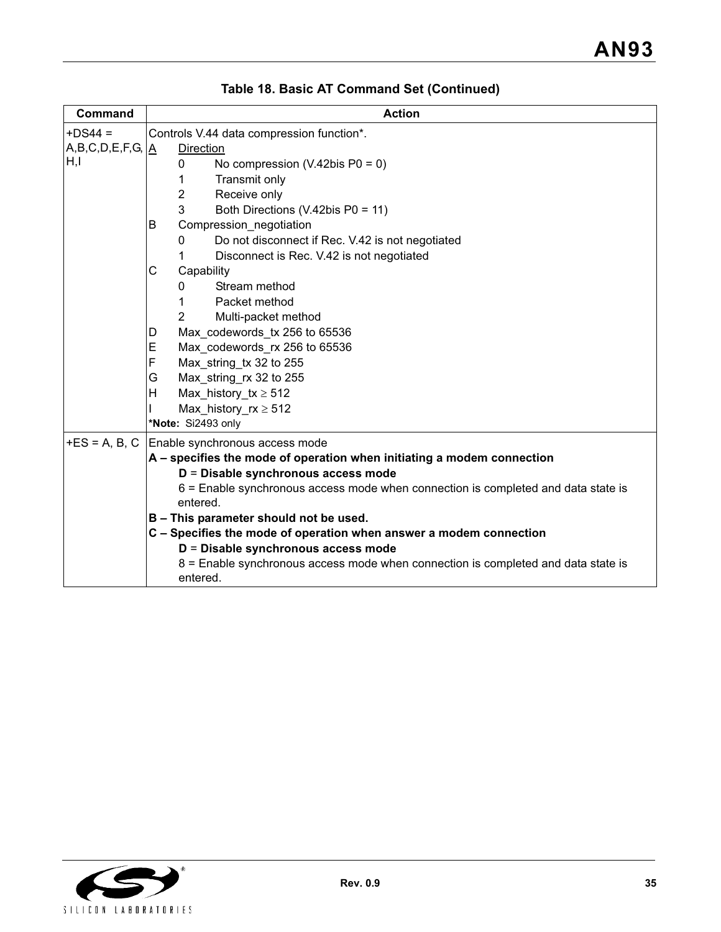| Command                                                                                                                                | <b>Action</b>                                                                                 |  |  |  |  |
|----------------------------------------------------------------------------------------------------------------------------------------|-----------------------------------------------------------------------------------------------|--|--|--|--|
| $+DS44 =$                                                                                                                              | Controls V.44 data compression function*.                                                     |  |  |  |  |
| $\left\vert \mathsf{A},\mathsf{B},\mathsf{C},\mathsf{D},\mathsf{E},\mathsf{F},\mathsf{G},\left\vert \underline{\mathsf{A}}\right\vert$ | Direction                                                                                     |  |  |  |  |
| H,I                                                                                                                                    | No compression $(V.42$ bis P0 = 0)<br>0                                                       |  |  |  |  |
|                                                                                                                                        | Transmit only<br>1                                                                            |  |  |  |  |
|                                                                                                                                        | $\overline{2}$<br>Receive only                                                                |  |  |  |  |
|                                                                                                                                        | 3<br>Both Directions (V.42bis P0 = 11)                                                        |  |  |  |  |
|                                                                                                                                        | B<br>Compression_negotiation                                                                  |  |  |  |  |
|                                                                                                                                        | Do not disconnect if Rec. V.42 is not negotiated<br>0                                         |  |  |  |  |
|                                                                                                                                        | Disconnect is Rec. V.42 is not negotiated                                                     |  |  |  |  |
|                                                                                                                                        | С<br>Capability                                                                               |  |  |  |  |
|                                                                                                                                        | Stream method<br>0                                                                            |  |  |  |  |
|                                                                                                                                        | Packet method                                                                                 |  |  |  |  |
|                                                                                                                                        | $\overline{2}$<br>Multi-packet method                                                         |  |  |  |  |
|                                                                                                                                        | Max codewords tx 256 to 65536<br>D                                                            |  |  |  |  |
|                                                                                                                                        | Max codewords rx 256 to 65536<br>Е                                                            |  |  |  |  |
|                                                                                                                                        | F<br>Max string tx 32 to 255                                                                  |  |  |  |  |
|                                                                                                                                        | Max string rx 32 to 255<br>G                                                                  |  |  |  |  |
|                                                                                                                                        | H<br>Max_history_tx $\geq 512$                                                                |  |  |  |  |
|                                                                                                                                        | Max history $rx \ge 512$                                                                      |  |  |  |  |
|                                                                                                                                        | *Note: Si2493 only                                                                            |  |  |  |  |
| $+ES = A, B, C$                                                                                                                        | Enable synchronous access mode                                                                |  |  |  |  |
|                                                                                                                                        | A – specifies the mode of operation when initiating a modem connection                        |  |  |  |  |
|                                                                                                                                        | D = Disable synchronous access mode                                                           |  |  |  |  |
|                                                                                                                                        | 6 = Enable synchronous access mode when connection is completed and data state is             |  |  |  |  |
|                                                                                                                                        | entered.                                                                                      |  |  |  |  |
|                                                                                                                                        | B - This parameter should not be used.                                                        |  |  |  |  |
|                                                                                                                                        | C - Specifies the mode of operation when answer a modem connection                            |  |  |  |  |
|                                                                                                                                        | D = Disable synchronous access mode                                                           |  |  |  |  |
|                                                                                                                                        | 8 = Enable synchronous access mode when connection is completed and data state is<br>entered. |  |  |  |  |

**Table 18. Basic AT Command Set (Continued)**

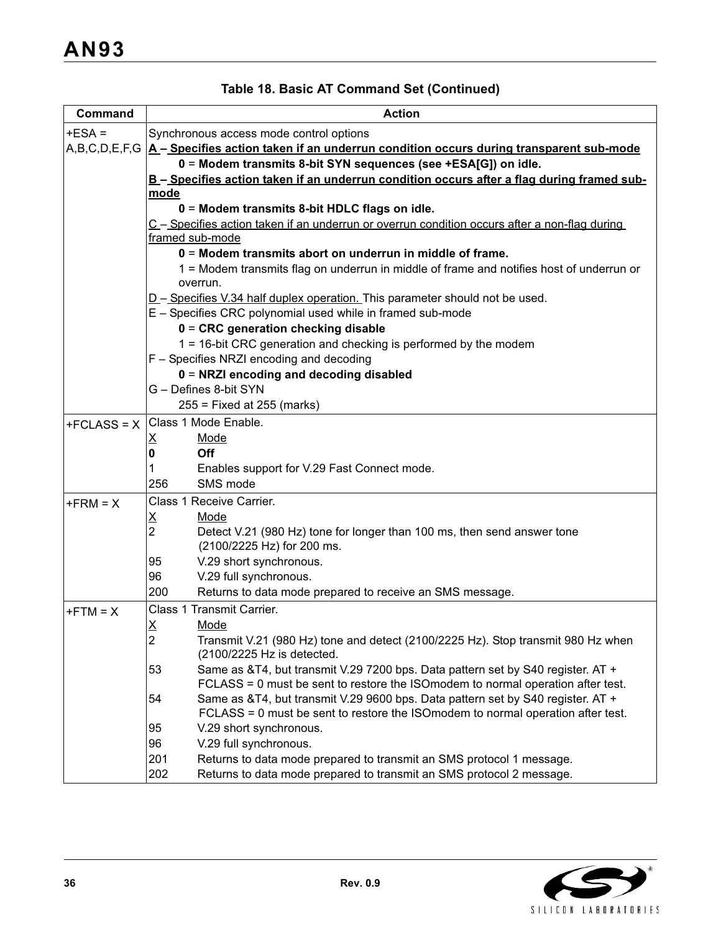| Command       | <b>Action</b>                                                                                 |  |  |  |  |
|---------------|-----------------------------------------------------------------------------------------------|--|--|--|--|
| $+ESA =$      | Synchronous access mode control options                                                       |  |  |  |  |
| A,B,C,D,E,F,G | A-Specifies action taken if an underrun condition occurs during transparent sub-mode          |  |  |  |  |
|               | 0 = Modem transmits 8-bit SYN sequences (see +ESA[G]) on idle.                                |  |  |  |  |
|               | B-Specifies action taken if an underrun condition occurs after a flag during framed sub-      |  |  |  |  |
|               | mode                                                                                          |  |  |  |  |
|               | 0 = Modem transmits 8-bit HDLC flags on idle.                                                 |  |  |  |  |
|               | C - Specifies action taken if an underrun or overrun condition occurs after a non-flag during |  |  |  |  |
|               | framed sub-mode                                                                               |  |  |  |  |
|               | 0 = Modem transmits abort on underrun in middle of frame.                                     |  |  |  |  |
|               | 1 = Modem transmits flag on underrun in middle of frame and notifies host of underrun or      |  |  |  |  |
|               | overrun.                                                                                      |  |  |  |  |
|               | D - Specifies V.34 half duplex operation. This parameter should not be used.                  |  |  |  |  |
|               | E - Specifies CRC polynomial used while in framed sub-mode                                    |  |  |  |  |
|               | $0 = CRC$ generation checking disable                                                         |  |  |  |  |
|               | 1 = 16-bit CRC generation and checking is performed by the modem                              |  |  |  |  |
|               | F - Specifies NRZI encoding and decoding                                                      |  |  |  |  |
|               | 0 = NRZI encoding and decoding disabled                                                       |  |  |  |  |
|               | G - Defines 8-bit SYN                                                                         |  |  |  |  |
|               | $255$ = Fixed at 255 (marks)                                                                  |  |  |  |  |
| $+FCLASS = X$ | Class 1 Mode Enable.                                                                          |  |  |  |  |
|               | Mode<br><u>x</u>                                                                              |  |  |  |  |
|               | Off<br>0                                                                                      |  |  |  |  |
|               | Enables support for V.29 Fast Connect mode.<br>1                                              |  |  |  |  |
|               | SMS mode<br>256                                                                               |  |  |  |  |
| $+FRM = X$    | Class 1 Receive Carrier.                                                                      |  |  |  |  |
|               | Mode<br><u>x</u>                                                                              |  |  |  |  |
|               | $\overline{2}$<br>Detect V.21 (980 Hz) tone for longer than 100 ms, then send answer tone     |  |  |  |  |
|               | (2100/2225 Hz) for 200 ms.                                                                    |  |  |  |  |
|               | V.29 short synchronous.<br>95                                                                 |  |  |  |  |
|               | 96<br>V.29 full synchronous.                                                                  |  |  |  |  |
|               | 200<br>Returns to data mode prepared to receive an SMS message.                               |  |  |  |  |
| $+FTM = X$    | Class 1 Transmit Carrier.                                                                     |  |  |  |  |
|               | Х<br>Mode                                                                                     |  |  |  |  |
|               | 2<br>Transmit V.21 (980 Hz) tone and detect (2100/2225 Hz). Stop transmit 980 Hz when         |  |  |  |  |
|               | (2100/2225 Hz is detected.                                                                    |  |  |  |  |
|               | Same as &T4, but transmit V.29 7200 bps. Data pattern set by S40 register. AT +<br>53         |  |  |  |  |
|               | FCLASS = 0 must be sent to restore the ISO modem to normal operation after test.              |  |  |  |  |
|               | Same as &T4, but transmit V.29 9600 bps. Data pattern set by S40 register. AT +<br>54         |  |  |  |  |
|               | FCLASS = 0 must be sent to restore the ISOmodem to normal operation after test.               |  |  |  |  |
|               | 95<br>V.29 short synchronous.                                                                 |  |  |  |  |
|               | V.29 full synchronous.<br>96                                                                  |  |  |  |  |
|               | 201<br>Returns to data mode prepared to transmit an SMS protocol 1 message.                   |  |  |  |  |
|               | 202<br>Returns to data mode prepared to transmit an SMS protocol 2 message.                   |  |  |  |  |

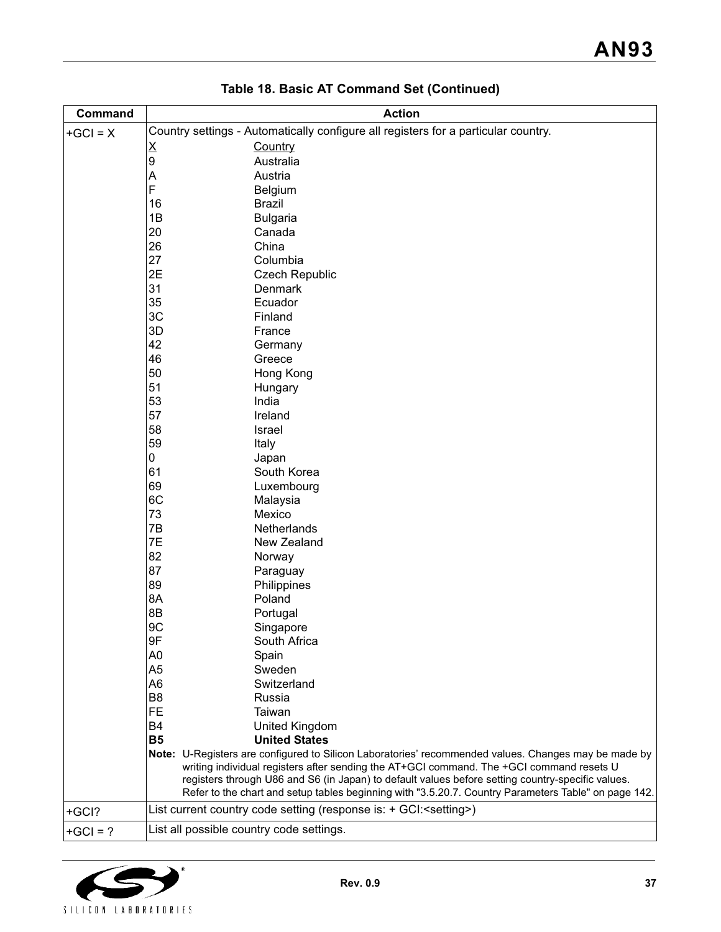| Command    | <b>Action</b>                                                                      |                                                                                                                                                                                                                                                                                                                                                                                                               |  |  |  |
|------------|------------------------------------------------------------------------------------|---------------------------------------------------------------------------------------------------------------------------------------------------------------------------------------------------------------------------------------------------------------------------------------------------------------------------------------------------------------------------------------------------------------|--|--|--|
| $+GCI = X$ | Country settings - Automatically configure all registers for a particular country. |                                                                                                                                                                                                                                                                                                                                                                                                               |  |  |  |
|            | <u>X</u><br>Country                                                                |                                                                                                                                                                                                                                                                                                                                                                                                               |  |  |  |
|            | 9                                                                                  | Australia                                                                                                                                                                                                                                                                                                                                                                                                     |  |  |  |
|            | Α                                                                                  | Austria                                                                                                                                                                                                                                                                                                                                                                                                       |  |  |  |
|            | F                                                                                  | <b>Belgium</b>                                                                                                                                                                                                                                                                                                                                                                                                |  |  |  |
|            | 16                                                                                 | <b>Brazil</b>                                                                                                                                                                                                                                                                                                                                                                                                 |  |  |  |
|            | 1B                                                                                 | <b>Bulgaria</b>                                                                                                                                                                                                                                                                                                                                                                                               |  |  |  |
|            | 20                                                                                 | Canada                                                                                                                                                                                                                                                                                                                                                                                                        |  |  |  |
|            | 26                                                                                 | China                                                                                                                                                                                                                                                                                                                                                                                                         |  |  |  |
|            | 27                                                                                 | Columbia                                                                                                                                                                                                                                                                                                                                                                                                      |  |  |  |
|            | 2E                                                                                 | Czech Republic                                                                                                                                                                                                                                                                                                                                                                                                |  |  |  |
|            | 31                                                                                 | <b>Denmark</b>                                                                                                                                                                                                                                                                                                                                                                                                |  |  |  |
|            | 35                                                                                 | Ecuador                                                                                                                                                                                                                                                                                                                                                                                                       |  |  |  |
|            | 3C                                                                                 | Finland                                                                                                                                                                                                                                                                                                                                                                                                       |  |  |  |
|            | 3D                                                                                 | France                                                                                                                                                                                                                                                                                                                                                                                                        |  |  |  |
|            | 42                                                                                 | Germany                                                                                                                                                                                                                                                                                                                                                                                                       |  |  |  |
|            | 46                                                                                 | Greece                                                                                                                                                                                                                                                                                                                                                                                                        |  |  |  |
|            | 50                                                                                 | Hong Kong                                                                                                                                                                                                                                                                                                                                                                                                     |  |  |  |
|            | 51                                                                                 | Hungary                                                                                                                                                                                                                                                                                                                                                                                                       |  |  |  |
|            | 53                                                                                 | India                                                                                                                                                                                                                                                                                                                                                                                                         |  |  |  |
|            | 57                                                                                 | Ireland                                                                                                                                                                                                                                                                                                                                                                                                       |  |  |  |
|            | 58                                                                                 | Israel                                                                                                                                                                                                                                                                                                                                                                                                        |  |  |  |
|            | 59                                                                                 | Italy                                                                                                                                                                                                                                                                                                                                                                                                         |  |  |  |
|            | 0                                                                                  | Japan                                                                                                                                                                                                                                                                                                                                                                                                         |  |  |  |
|            | 61                                                                                 | South Korea                                                                                                                                                                                                                                                                                                                                                                                                   |  |  |  |
|            | 69                                                                                 | Luxembourg                                                                                                                                                                                                                                                                                                                                                                                                    |  |  |  |
|            | 6C                                                                                 | Malaysia                                                                                                                                                                                                                                                                                                                                                                                                      |  |  |  |
| 73         |                                                                                    | Mexico                                                                                                                                                                                                                                                                                                                                                                                                        |  |  |  |
|            | 7В                                                                                 | Netherlands                                                                                                                                                                                                                                                                                                                                                                                                   |  |  |  |
|            | 7E                                                                                 | New Zealand                                                                                                                                                                                                                                                                                                                                                                                                   |  |  |  |
|            | 82<br>87                                                                           | Norway                                                                                                                                                                                                                                                                                                                                                                                                        |  |  |  |
|            | 89                                                                                 | Paraguay                                                                                                                                                                                                                                                                                                                                                                                                      |  |  |  |
|            | 8A                                                                                 | Philippines<br>Poland                                                                                                                                                                                                                                                                                                                                                                                         |  |  |  |
|            | 8B                                                                                 | Portugal                                                                                                                                                                                                                                                                                                                                                                                                      |  |  |  |
|            | 9C                                                                                 | Singapore                                                                                                                                                                                                                                                                                                                                                                                                     |  |  |  |
|            | 9F                                                                                 | South Africa                                                                                                                                                                                                                                                                                                                                                                                                  |  |  |  |
|            | A0                                                                                 | Spain                                                                                                                                                                                                                                                                                                                                                                                                         |  |  |  |
|            | A5                                                                                 | Sweden                                                                                                                                                                                                                                                                                                                                                                                                        |  |  |  |
|            | A6                                                                                 | Switzerland                                                                                                                                                                                                                                                                                                                                                                                                   |  |  |  |
|            | B <sub>8</sub>                                                                     | Russia                                                                                                                                                                                                                                                                                                                                                                                                        |  |  |  |
|            | <b>FE</b>                                                                          | Taiwan                                                                                                                                                                                                                                                                                                                                                                                                        |  |  |  |
|            | <b>B4</b>                                                                          | United Kingdom                                                                                                                                                                                                                                                                                                                                                                                                |  |  |  |
|            | <b>B5</b>                                                                          | <b>United States</b>                                                                                                                                                                                                                                                                                                                                                                                          |  |  |  |
|            |                                                                                    | Note: U-Registers are configured to Silicon Laboratories' recommended values. Changes may be made by<br>writing individual registers after sending the AT+GCI command. The +GCI command resets U<br>registers through U86 and S6 (in Japan) to default values before setting country-specific values.<br>Refer to the chart and setup tables beginning with "3.5.20.7. Country Parameters Table" on page 142. |  |  |  |
| +GCI?      | List current country code setting (response is: + GCI: <setting>)</setting>        |                                                                                                                                                                                                                                                                                                                                                                                                               |  |  |  |
| $+GCI = ?$ |                                                                                    | List all possible country code settings.                                                                                                                                                                                                                                                                                                                                                                      |  |  |  |

**Table 18. Basic AT Command Set (Continued)**

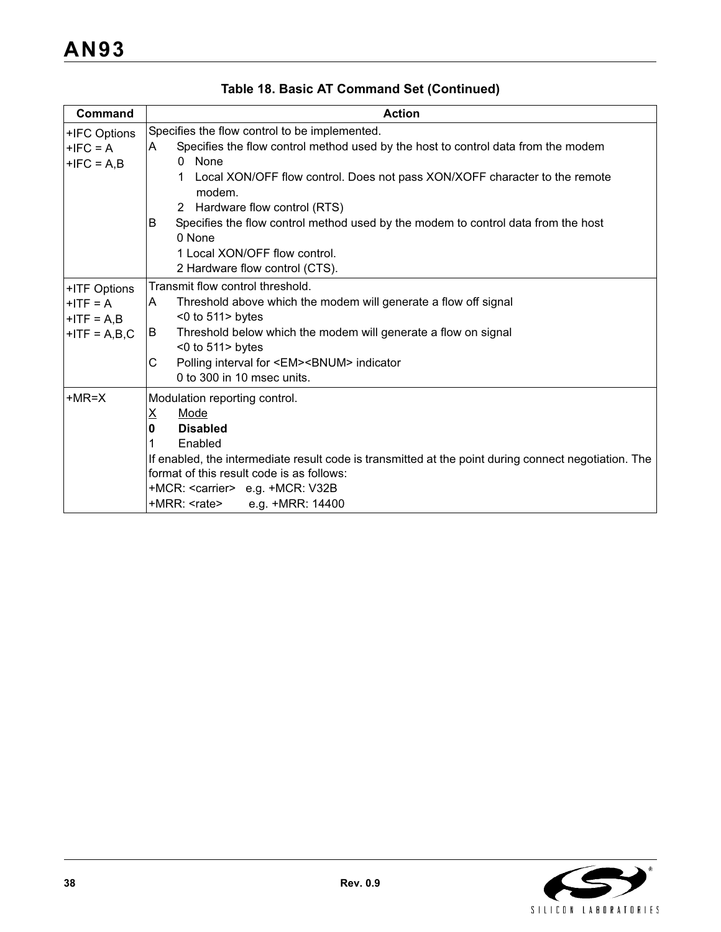| <b>Command</b>                                                | <b>Action</b>                                                                                                                                                                                                                                                                                                                                                                                                                                                 |  |  |
|---------------------------------------------------------------|---------------------------------------------------------------------------------------------------------------------------------------------------------------------------------------------------------------------------------------------------------------------------------------------------------------------------------------------------------------------------------------------------------------------------------------------------------------|--|--|
| +IFC Options<br>$+IFC = A$<br>$+IFC = A,B$                    | Specifies the flow control to be implemented.<br>Specifies the flow control method used by the host to control data from the modem<br>ΙA.<br>None<br>$\Omega$<br>Local XON/OFF flow control. Does not pass XON/XOFF character to the remote<br>modem.<br>2 Hardware flow control (RTS)<br>Specifies the flow control method used by the modem to control data from the host<br>B<br>0 None<br>1 Local XON/OFF flow control.<br>2 Hardware flow control (CTS). |  |  |
| +ITF Options<br>$+ITF = A$<br>$+$ ITF = A,B<br>$+ITF = A,B,C$ | Transmit flow control threshold.<br>Threshold above which the modem will generate a flow off signal<br>ΙA.<br>$<$ 0 to 511 > bytes<br>Threshold below which the modem will generate a flow on signal<br>B<br>$<$ 0 to 511 > bytes<br>Polling interval for <em><bnum> indicator<br/>С<br/>0 to 300 in 10 msec units.</bnum></em>                                                                                                                               |  |  |
| $+MR=X$                                                       | Modulation reporting control.<br>$\underline{X}$<br>Mode<br><b>Disabled</b><br>0<br>Enabled<br>If enabled, the intermediate result code is transmitted at the point during connect negotiation. The<br>format of this result code is as follows:<br>+MCR: <carrier> e.g. +MCR: V32B<br/>+MRR: <rate><br/>e.g. +MRR: 14400</rate></carrier>                                                                                                                    |  |  |

**Table 18. Basic AT Command Set (Continued)**

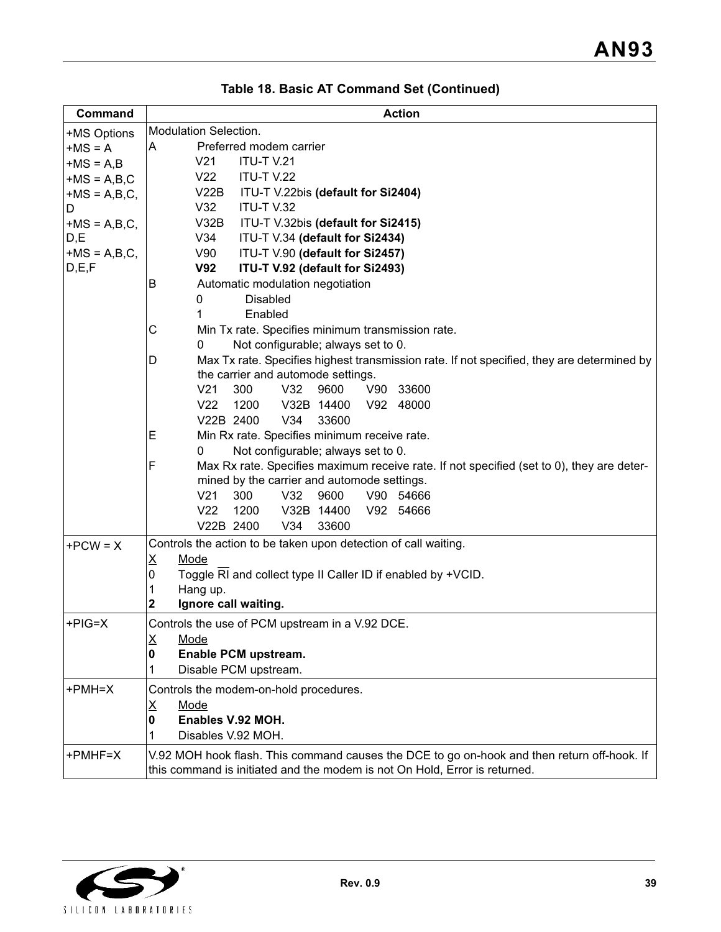| Command        | <b>Action</b>                                                                                   |  |  |  |  |
|----------------|-------------------------------------------------------------------------------------------------|--|--|--|--|
| +MS Options    | Modulation Selection.                                                                           |  |  |  |  |
| $+MS = A$      | Preferred modem carrier<br>A                                                                    |  |  |  |  |
| $+MS = A,B$    | V <sub>21</sub><br><b>ITU-T V.21</b>                                                            |  |  |  |  |
| $+MS = A,B,C$  | V22<br><b>ITU-T V.22</b>                                                                        |  |  |  |  |
| $+MS = A,B,C,$ | V22B<br>ITU-T V.22bis (default for Si2404)                                                      |  |  |  |  |
| D              | ITU-T V.32<br>V32                                                                               |  |  |  |  |
| $+MS = A,B,C,$ | V32B<br>ITU-T V.32bis (default for Si2415)                                                      |  |  |  |  |
| D,E            | V34<br>ITU-T V.34 (default for Si2434)                                                          |  |  |  |  |
| $+MS = A,B,C,$ | V90<br>ITU-T V.90 (default for Si2457)                                                          |  |  |  |  |
| D, E, F        | <b>V92</b><br>ITU-T V.92 (default for Si2493)                                                   |  |  |  |  |
|                | Automatic modulation negotiation<br>B                                                           |  |  |  |  |
|                | 0<br><b>Disabled</b>                                                                            |  |  |  |  |
|                | Enabled<br>1                                                                                    |  |  |  |  |
|                | С<br>Min Tx rate. Specifies minimum transmission rate.                                          |  |  |  |  |
|                | Not configurable; always set to 0.<br>0                                                         |  |  |  |  |
|                | Max Tx rate. Specifies highest transmission rate. If not specified, they are determined by<br>D |  |  |  |  |
|                | the carrier and automode settings.                                                              |  |  |  |  |
|                | V <sub>21</sub><br>300<br>9600<br>V32<br>V90 33600                                              |  |  |  |  |
|                | V22<br>1200<br>V92 48000<br>V32B 14400                                                          |  |  |  |  |
|                | V22B 2400<br>V34<br>33600                                                                       |  |  |  |  |
|                | Min Rx rate. Specifies minimum receive rate.<br>E                                               |  |  |  |  |
|                | Not configurable; always set to 0.<br>0                                                         |  |  |  |  |
|                | F<br>Max Rx rate. Specifies maximum receive rate. If not specified (set to 0), they are deter-  |  |  |  |  |
|                | mined by the carrier and automode settings.                                                     |  |  |  |  |
|                | V21<br>300<br>V32<br>9600<br>V90 54666                                                          |  |  |  |  |
|                | V <sub>22</sub><br>1200<br>V32B 14400<br>V92 54666                                              |  |  |  |  |
|                | V34<br>33600<br>V22B 2400                                                                       |  |  |  |  |
| $+PCW = X$     | Controls the action to be taken upon detection of call waiting.                                 |  |  |  |  |
|                | Mode<br><u>x</u>                                                                                |  |  |  |  |
|                | 0<br>Toggle RI and collect type II Caller ID if enabled by +VCID.                               |  |  |  |  |
|                | Hang up.<br>1                                                                                   |  |  |  |  |
|                | 2<br>Ignore call waiting.                                                                       |  |  |  |  |
| $+PIG=X$       | Controls the use of PCM upstream in a V.92 DCE.                                                 |  |  |  |  |
|                | Mode<br>Ϫ                                                                                       |  |  |  |  |
|                | Enable PCM upstream.<br>0                                                                       |  |  |  |  |
|                | Disable PCM upstream.<br>1                                                                      |  |  |  |  |
| +PMH=X         | Controls the modem-on-hold procedures.                                                          |  |  |  |  |
|                | $\underline{X}$<br>Mode                                                                         |  |  |  |  |
|                | Enables V.92 MOH.<br>0                                                                          |  |  |  |  |
|                | Disables V.92 MOH.<br>1                                                                         |  |  |  |  |
|                |                                                                                                 |  |  |  |  |
| +PMHF=X        | V.92 MOH hook flash. This command causes the DCE to go on-hook and then return off-hook. If     |  |  |  |  |
|                | this command is initiated and the modem is not On Hold, Error is returned.                      |  |  |  |  |

|  |  | Table 18. Basic AT Command Set (Continued) |  |
|--|--|--------------------------------------------|--|
|--|--|--------------------------------------------|--|

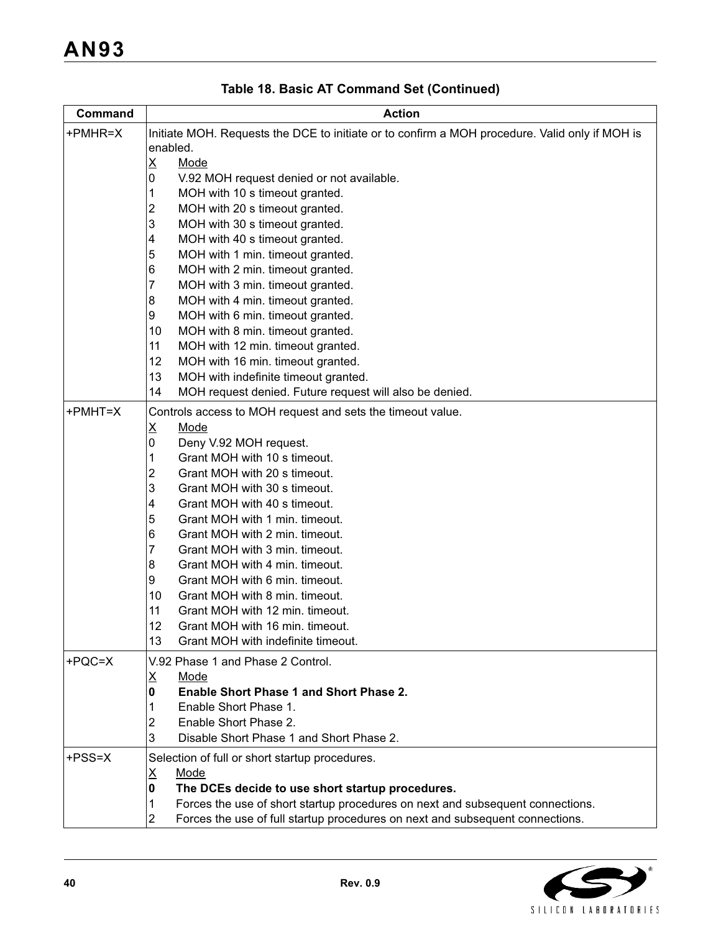| Command  | <b>Action</b>                                                                                  |  |  |  |  |
|----------|------------------------------------------------------------------------------------------------|--|--|--|--|
| +PMHR=X  | Initiate MOH. Requests the DCE to initiate or to confirm a MOH procedure. Valid only if MOH is |  |  |  |  |
|          | enabled.                                                                                       |  |  |  |  |
|          | <u>X</u><br><u>Mode</u>                                                                        |  |  |  |  |
|          | 0<br>V.92 MOH request denied or not available.                                                 |  |  |  |  |
|          | MOH with 10 s timeout granted.<br>1                                                            |  |  |  |  |
|          | 2<br>MOH with 20 s timeout granted.                                                            |  |  |  |  |
|          | 3<br>MOH with 30 s timeout granted.                                                            |  |  |  |  |
|          | 4<br>MOH with 40 s timeout granted.                                                            |  |  |  |  |
|          | 5<br>MOH with 1 min. timeout granted.                                                          |  |  |  |  |
|          | 6<br>MOH with 2 min. timeout granted.                                                          |  |  |  |  |
|          | 7<br>MOH with 3 min. timeout granted.                                                          |  |  |  |  |
|          | 8<br>MOH with 4 min. timeout granted.                                                          |  |  |  |  |
|          | 9<br>MOH with 6 min. timeout granted.<br>10                                                    |  |  |  |  |
|          | MOH with 8 min. timeout granted.<br>11                                                         |  |  |  |  |
|          | MOH with 12 min. timeout granted.<br>12                                                        |  |  |  |  |
|          | MOH with 16 min. timeout granted.<br>13<br>MOH with indefinite timeout granted.                |  |  |  |  |
|          | 14<br>MOH request denied. Future request will also be denied.                                  |  |  |  |  |
|          |                                                                                                |  |  |  |  |
| +PMHT=X  | Controls access to MOH request and sets the timeout value.                                     |  |  |  |  |
|          | X<br>Mode                                                                                      |  |  |  |  |
|          | 0<br>Deny V.92 MOH request.                                                                    |  |  |  |  |
|          | Grant MOH with 10 s timeout.<br>1                                                              |  |  |  |  |
|          | 2<br>Grant MOH with 20 s timeout.<br>3<br>Grant MOH with 30 s timeout.                         |  |  |  |  |
|          | Grant MOH with 40 s timeout.                                                                   |  |  |  |  |
|          | 4<br>5<br>Grant MOH with 1 min. timeout.                                                       |  |  |  |  |
|          | 6<br>Grant MOH with 2 min. timeout.                                                            |  |  |  |  |
|          | 7<br>Grant MOH with 3 min. timeout.                                                            |  |  |  |  |
|          | 8<br>Grant MOH with 4 min. timeout.                                                            |  |  |  |  |
|          | 9<br>Grant MOH with 6 min. timeout.                                                            |  |  |  |  |
|          | 10<br>Grant MOH with 8 min. timeout.                                                           |  |  |  |  |
|          | 11<br>Grant MOH with 12 min. timeout.                                                          |  |  |  |  |
|          | 12<br>Grant MOH with 16 min. timeout.                                                          |  |  |  |  |
|          | 13<br>Grant MOH with indefinite timeout.                                                       |  |  |  |  |
| $+PQC=X$ | V.92 Phase 1 and Phase 2 Control.                                                              |  |  |  |  |
|          | Χ<br><u>Mode</u>                                                                               |  |  |  |  |
|          | <b>Enable Short Phase 1 and Short Phase 2.</b><br>0                                            |  |  |  |  |
|          | Enable Short Phase 1.<br>1                                                                     |  |  |  |  |
|          | Enable Short Phase 2.<br>2                                                                     |  |  |  |  |
|          | 3<br>Disable Short Phase 1 and Short Phase 2.                                                  |  |  |  |  |
| +PSS=X   | Selection of full or short startup procedures.                                                 |  |  |  |  |
|          | <u>X</u><br>Mode                                                                               |  |  |  |  |
|          | 0<br>The DCEs decide to use short startup procedures.                                          |  |  |  |  |
|          | Forces the use of short startup procedures on next and subsequent connections.<br>1            |  |  |  |  |
|          | 2<br>Forces the use of full startup procedures on next and subsequent connections.             |  |  |  |  |
|          |                                                                                                |  |  |  |  |

**Table 18. Basic AT Command Set (Continued)**

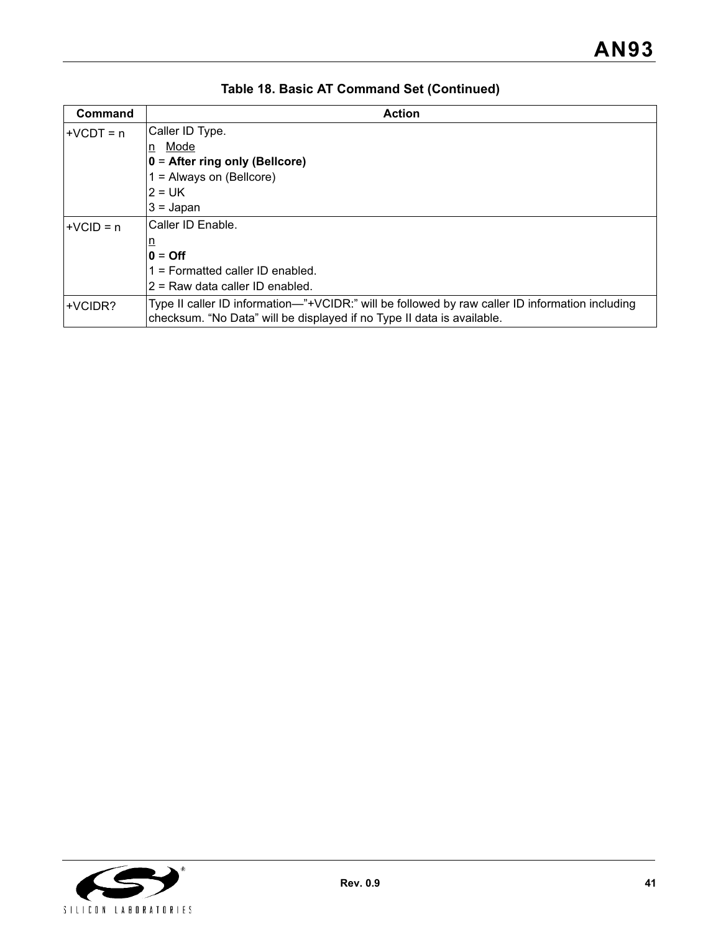| <b>Command</b> | <b>Action</b>                                                                                                                                                             |
|----------------|---------------------------------------------------------------------------------------------------------------------------------------------------------------------------|
| ∣+VCDT = n     | Caller ID Type.                                                                                                                                                           |
|                | Mode<br>n                                                                                                                                                                 |
|                | $0 =$ After ring only (Bellcore)                                                                                                                                          |
|                | $1 =$ Always on (Bellcore)                                                                                                                                                |
|                | $2 = UK$                                                                                                                                                                  |
|                | $3 =$ Japan                                                                                                                                                               |
| $+VCID = n$    | Caller ID Enable.                                                                                                                                                         |
|                | ₫                                                                                                                                                                         |
|                | $0 = \text{Off}$                                                                                                                                                          |
|                | 1 = Formatted caller ID enabled.                                                                                                                                          |
|                | 2 = Raw data caller ID enabled.                                                                                                                                           |
| +VCIDR?        | Type II caller ID information—"+VCIDR:" will be followed by raw caller ID information including<br>checksum. "No Data" will be displayed if no Type II data is available. |

**Table 18. Basic AT Command Set (Continued)**

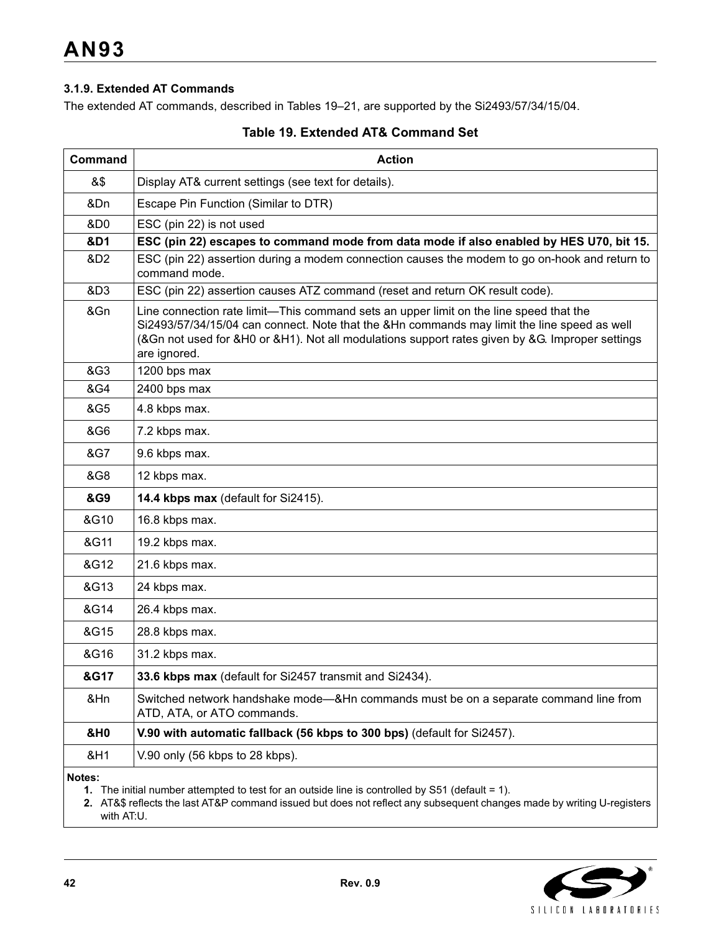### **3.1.9. Extended AT Commands**

The extended AT commands, described in Tables 19–21, are supported by the Si2493/57/34/15/04.

| Command         | <b>Action</b>                                                                                                                                                                                                                                                                                            |  |  |  |  |
|-----------------|----------------------------------------------------------------------------------------------------------------------------------------------------------------------------------------------------------------------------------------------------------------------------------------------------------|--|--|--|--|
| &\$             | Display AT& current settings (see text for details).                                                                                                                                                                                                                                                     |  |  |  |  |
| &Dn             | Escape Pin Function (Similar to DTR)                                                                                                                                                                                                                                                                     |  |  |  |  |
| &D0             | ESC (pin 22) is not used                                                                                                                                                                                                                                                                                 |  |  |  |  |
| &D1             | ESC (pin 22) escapes to command mode from data mode if also enabled by HES U70, bit 15.                                                                                                                                                                                                                  |  |  |  |  |
| &D2             | ESC (pin 22) assertion during a modem connection causes the modem to go on-hook and return to<br>command mode.                                                                                                                                                                                           |  |  |  |  |
| &D <sub>3</sub> | ESC (pin 22) assertion causes ATZ command (reset and return OK result code).                                                                                                                                                                                                                             |  |  |  |  |
| &Gn             | Line connection rate limit—This command sets an upper limit on the line speed that the<br>Si2493/57/34/15/04 can connect. Note that the &Hn commands may limit the line speed as well<br>(&Gn not used for &H0 or &H1). Not all modulations support rates given by &G. Improper settings<br>are ignored. |  |  |  |  |
| &G3             | 1200 bps max                                                                                                                                                                                                                                                                                             |  |  |  |  |
| &G4             | 2400 bps max                                                                                                                                                                                                                                                                                             |  |  |  |  |
| &G5             | 4.8 kbps max.                                                                                                                                                                                                                                                                                            |  |  |  |  |
| &G6             | 7.2 kbps max.                                                                                                                                                                                                                                                                                            |  |  |  |  |
| &G7             | 9.6 kbps max.                                                                                                                                                                                                                                                                                            |  |  |  |  |
| &G8             | 12 kbps max.                                                                                                                                                                                                                                                                                             |  |  |  |  |
| &G9             | 14.4 kbps max (default for Si2415).                                                                                                                                                                                                                                                                      |  |  |  |  |
| &G10            | 16.8 kbps max.                                                                                                                                                                                                                                                                                           |  |  |  |  |
| &G11            | 19.2 kbps max.                                                                                                                                                                                                                                                                                           |  |  |  |  |
| &G12            | 21.6 kbps max.                                                                                                                                                                                                                                                                                           |  |  |  |  |
| &G13            | 24 kbps max.                                                                                                                                                                                                                                                                                             |  |  |  |  |
| &G14            | 26.4 kbps max.                                                                                                                                                                                                                                                                                           |  |  |  |  |
| &G15            | 28.8 kbps max.                                                                                                                                                                                                                                                                                           |  |  |  |  |
| &G16            | 31.2 kbps max.                                                                                                                                                                                                                                                                                           |  |  |  |  |
| &G17            | 33.6 kbps max (default for Si2457 transmit and Si2434).                                                                                                                                                                                                                                                  |  |  |  |  |
| &Hn             | Switched network handshake mode-&Hn commands must be on a separate command line from<br>ATD, ATA, or ATO commands.                                                                                                                                                                                       |  |  |  |  |
| <b>&amp;H0</b>  | V.90 with automatic fallback (56 kbps to 300 bps) (default for Si2457).                                                                                                                                                                                                                                  |  |  |  |  |
| &H1             | V.90 only (56 kbps to 28 kbps).                                                                                                                                                                                                                                                                          |  |  |  |  |
|                 |                                                                                                                                                                                                                                                                                                          |  |  |  |  |

## **Table 19. Extended AT& Command Set**

**Notes:**

**1.** The initial number attempted to test for an outside line is controlled by S51 (default = 1).

**2.** AT&\$ reflects the last AT&P command issued but does not reflect any subsequent changes made by writing U-registers with AT:U.

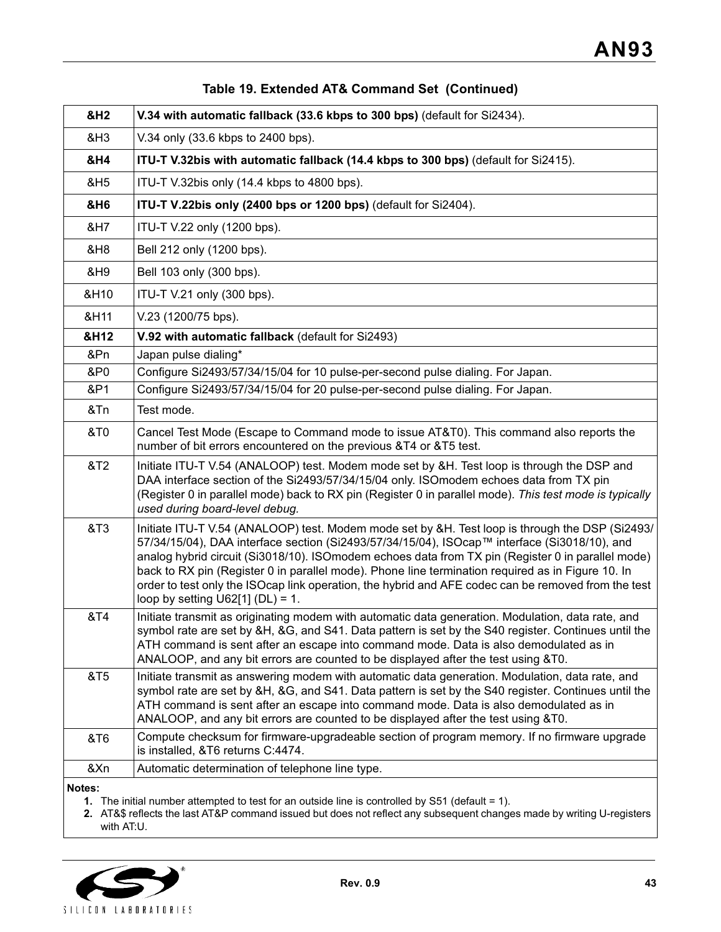| <b>&amp;H2</b> | V.34 with automatic fallback (33.6 kbps to 300 bps) (default for Si2434).                                                                                                                                                                                                                                                                                                                                                                                                                                                                               |
|----------------|---------------------------------------------------------------------------------------------------------------------------------------------------------------------------------------------------------------------------------------------------------------------------------------------------------------------------------------------------------------------------------------------------------------------------------------------------------------------------------------------------------------------------------------------------------|
| &H3            | V.34 only (33.6 kbps to 2400 bps).                                                                                                                                                                                                                                                                                                                                                                                                                                                                                                                      |
| &H4            | ITU-T V.32bis with automatic fallback (14.4 kbps to 300 bps) (default for Si2415).                                                                                                                                                                                                                                                                                                                                                                                                                                                                      |
| &H5            | ITU-T V.32bis only (14.4 kbps to 4800 bps).                                                                                                                                                                                                                                                                                                                                                                                                                                                                                                             |
| &H6            | ITU-T V.22bis only (2400 bps or 1200 bps) (default for Si2404).                                                                                                                                                                                                                                                                                                                                                                                                                                                                                         |
| &H7            | ITU-T V.22 only (1200 bps).                                                                                                                                                                                                                                                                                                                                                                                                                                                                                                                             |
| &H8            | Bell 212 only (1200 bps).                                                                                                                                                                                                                                                                                                                                                                                                                                                                                                                               |
| &H9            | Bell 103 only (300 bps).                                                                                                                                                                                                                                                                                                                                                                                                                                                                                                                                |
| &H10           | ITU-T V.21 only (300 bps).                                                                                                                                                                                                                                                                                                                                                                                                                                                                                                                              |
| &H11           | V.23 (1200/75 bps).                                                                                                                                                                                                                                                                                                                                                                                                                                                                                                                                     |
| &H12           | V.92 with automatic fallback (default for Si2493)                                                                                                                                                                                                                                                                                                                                                                                                                                                                                                       |
| &Pn            | Japan pulse dialing*                                                                                                                                                                                                                                                                                                                                                                                                                                                                                                                                    |
| &P0            | Configure Si2493/57/34/15/04 for 10 pulse-per-second pulse dialing. For Japan.                                                                                                                                                                                                                                                                                                                                                                                                                                                                          |
| &P1            | Configure Si2493/57/34/15/04 for 20 pulse-per-second pulse dialing. For Japan.                                                                                                                                                                                                                                                                                                                                                                                                                                                                          |
| &Tn            | Test mode.                                                                                                                                                                                                                                                                                                                                                                                                                                                                                                                                              |
| <b>&amp;T0</b> | Cancel Test Mode (Escape to Command mode to issue AT&T0). This command also reports the<br>number of bit errors encountered on the previous &T4 or &T5 test.                                                                                                                                                                                                                                                                                                                                                                                            |
| &T2            | Initiate ITU-T V.54 (ANALOOP) test. Modem mode set by &H. Test loop is through the DSP and<br>DAA interface section of the Si2493/57/34/15/04 only. ISOmodem echoes data from TX pin<br>(Register 0 in parallel mode) back to RX pin (Register 0 in parallel mode). This test mode is typically<br>used during board-level debug.                                                                                                                                                                                                                       |
| &T3            | Initiate ITU-T V.54 (ANALOOP) test. Modem mode set by &H. Test loop is through the DSP (Si2493/<br>57/34/15/04), DAA interface section (Si2493/57/34/15/04), ISOcap™ interface (Si3018/10), and<br>analog hybrid circuit (Si3018/10). ISOmodem echoes data from TX pin (Register 0 in parallel mode)<br>back to RX pin (Register 0 in parallel mode). Phone line termination required as in Figure 10. In<br>order to test only the ISOcap link operation, the hybrid and AFE codec can be removed from the test<br>loop by setting $U62[1] (DL) = 1$ . |
| &T4            | Initiate transmit as originating modem with automatic data generation. Modulation, data rate, and<br>symbol rate are set by &H, &G, and S41. Data pattern is set by the S40 register. Continues until the<br>ATH command is sent after an escape into command mode. Data is also demodulated as in<br>ANALOOP, and any bit errors are counted to be displayed after the test using &T0.                                                                                                                                                                 |
| &T5            | Initiate transmit as answering modem with automatic data generation. Modulation, data rate, and<br>symbol rate are set by &H, &G, and S41. Data pattern is set by the S40 register. Continues until the<br>ATH command is sent after an escape into command mode. Data is also demodulated as in<br>ANALOOP, and any bit errors are counted to be displayed after the test using &T0.                                                                                                                                                                   |
| &T6            | Compute checksum for firmware-upgradeable section of program memory. If no firmware upgrade<br>is installed, &T6 returns C:4474.                                                                                                                                                                                                                                                                                                                                                                                                                        |
| &Xn            | Automatic determination of telephone line type.                                                                                                                                                                                                                                                                                                                                                                                                                                                                                                         |
| Notes:         |                                                                                                                                                                                                                                                                                                                                                                                                                                                                                                                                                         |

## **Table 19. Extended AT& Command Set (Continued)**

**1.** The initial number attempted to test for an outside line is controlled by S51 (default = 1).

**2.** AT&\$ reflects the last AT&P command issued but does not reflect any subsequent changes made by writing U-registers with AT:U.

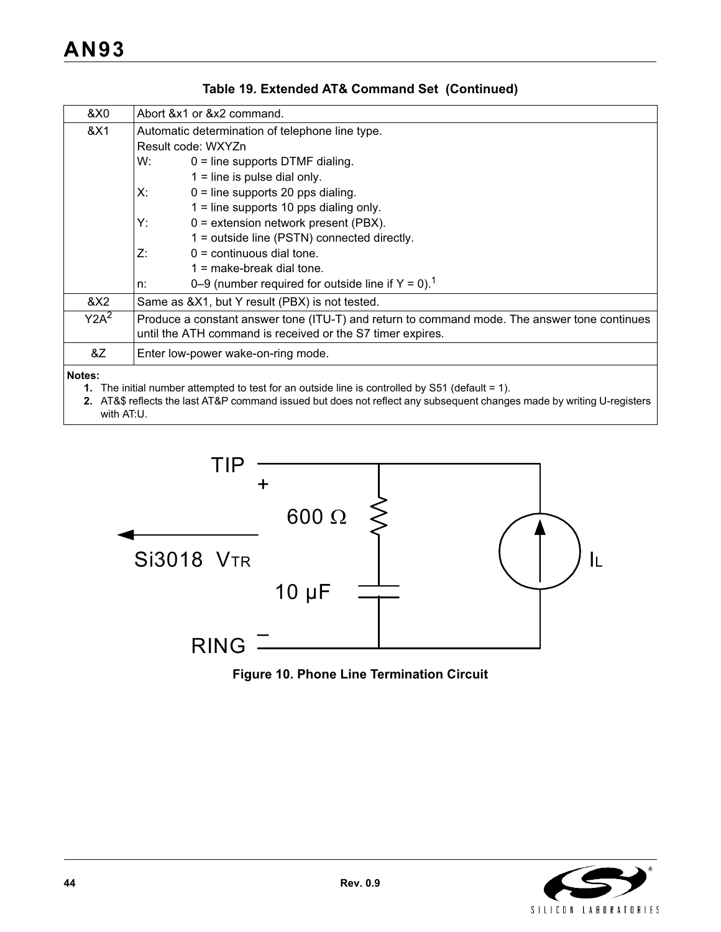| &X0              | Abort & x1 or & x2 command.                                                                                                                                |                                                                  |  |  |  |  |
|------------------|------------------------------------------------------------------------------------------------------------------------------------------------------------|------------------------------------------------------------------|--|--|--|--|
| &X1              | Automatic determination of telephone line type.                                                                                                            |                                                                  |  |  |  |  |
|                  | Result code: WXYZn                                                                                                                                         |                                                                  |  |  |  |  |
|                  | W:                                                                                                                                                         | $0 =$ line supports DTMF dialing.                                |  |  |  |  |
|                  | $1 =$ line is pulse dial only.                                                                                                                             |                                                                  |  |  |  |  |
|                  | Х:<br>$0 =$ line supports 20 pps dialing.                                                                                                                  |                                                                  |  |  |  |  |
|                  | $1 =$ line supports 10 pps dialing only.                                                                                                                   |                                                                  |  |  |  |  |
|                  | Y:<br>$0 =$ extension network present (PBX).                                                                                                               |                                                                  |  |  |  |  |
|                  | 1 = outside line (PSTN) connected directly.                                                                                                                |                                                                  |  |  |  |  |
|                  | $0 =$ continuous dial tone.<br>Z:                                                                                                                          |                                                                  |  |  |  |  |
|                  | $1 =$ make-break dial tone.                                                                                                                                |                                                                  |  |  |  |  |
|                  | n:                                                                                                                                                         | 0–9 (number required for outside line if $Y = 0$ ). <sup>1</sup> |  |  |  |  |
| &X2              |                                                                                                                                                            | Same as &X1, but Y result (PBX) is not tested.                   |  |  |  |  |
| Y2A <sup>2</sup> | Produce a constant answer tone (ITU-T) and return to command mode. The answer tone continues<br>until the ATH command is received or the S7 timer expires. |                                                                  |  |  |  |  |
| &Z               | Enter low-power wake-on-ring mode.                                                                                                                         |                                                                  |  |  |  |  |
| Notes:           |                                                                                                                                                            |                                                                  |  |  |  |  |

## **Table 19. Extended AT& Command Set (Continued)**

- **1.** The initial number attempted to test for an outside line is controlled by S51 (default = 1).
- **2.** AT&\$ reflects the last AT&P command issued but does not reflect any subsequent changes made by writing U-registers with AT:U.





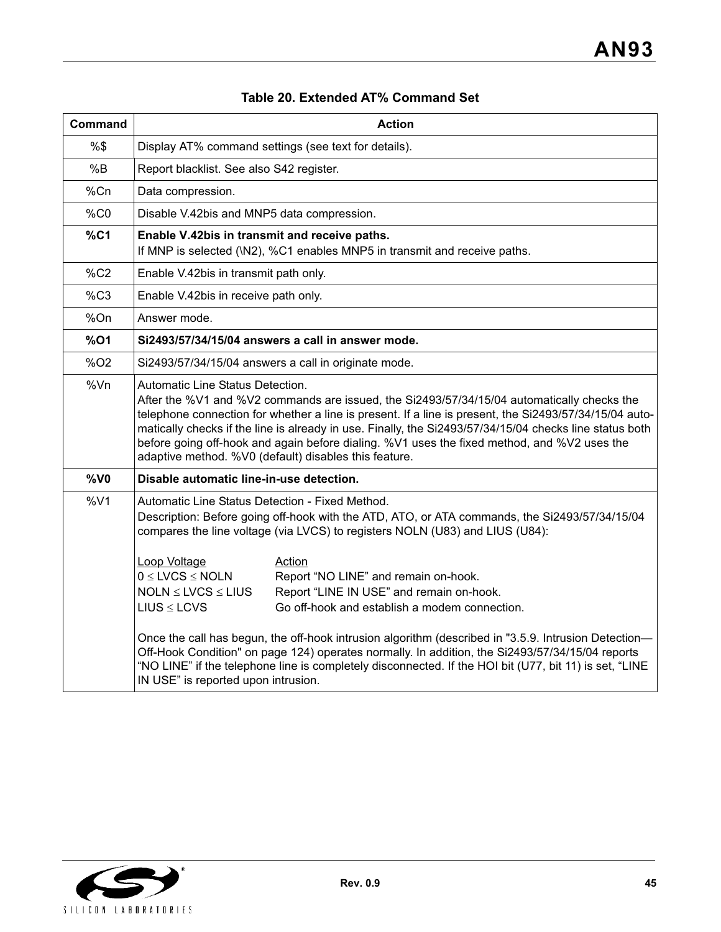| <b>Command</b>  | <b>Action</b>                                                                                                                                                                                                                                                                                                                                                                                                                                                                                                                                                                                                |  |  |  |  |
|-----------------|--------------------------------------------------------------------------------------------------------------------------------------------------------------------------------------------------------------------------------------------------------------------------------------------------------------------------------------------------------------------------------------------------------------------------------------------------------------------------------------------------------------------------------------------------------------------------------------------------------------|--|--|--|--|
| %\$             | Display AT% command settings (see text for details).                                                                                                                                                                                                                                                                                                                                                                                                                                                                                                                                                         |  |  |  |  |
| %B              | Report blacklist. See also S42 register.                                                                                                                                                                                                                                                                                                                                                                                                                                                                                                                                                                     |  |  |  |  |
| %Cn             | Data compression.                                                                                                                                                                                                                                                                                                                                                                                                                                                                                                                                                                                            |  |  |  |  |
| %CO             | Disable V.42bis and MNP5 data compression.                                                                                                                                                                                                                                                                                                                                                                                                                                                                                                                                                                   |  |  |  |  |
| %C1             | Enable V.42bis in transmit and receive paths.<br>If MNP is selected (\N2), %C1 enables MNP5 in transmit and receive paths.                                                                                                                                                                                                                                                                                                                                                                                                                                                                                   |  |  |  |  |
| %C2             | Enable V.42bis in transmit path only.                                                                                                                                                                                                                                                                                                                                                                                                                                                                                                                                                                        |  |  |  |  |
| %C3             | Enable V.42bis in receive path only.                                                                                                                                                                                                                                                                                                                                                                                                                                                                                                                                                                         |  |  |  |  |
| %On             | Answer mode.                                                                                                                                                                                                                                                                                                                                                                                                                                                                                                                                                                                                 |  |  |  |  |
| $%$ O1          | Si2493/57/34/15/04 answers a call in answer mode.                                                                                                                                                                                                                                                                                                                                                                                                                                                                                                                                                            |  |  |  |  |
| %O <sub>2</sub> | Si2493/57/34/15/04 answers a call in originate mode.                                                                                                                                                                                                                                                                                                                                                                                                                                                                                                                                                         |  |  |  |  |
| %Vn             | <b>Automatic Line Status Detection.</b><br>After the %V1 and %V2 commands are issued, the Si2493/57/34/15/04 automatically checks the<br>telephone connection for whether a line is present. If a line is present, the Si2493/57/34/15/04 auto-<br>matically checks if the line is already in use. Finally, the Si2493/57/34/15/04 checks line status both<br>before going off-hook and again before dialing. %V1 uses the fixed method, and %V2 uses the<br>adaptive method. %V0 (default) disables this feature.                                                                                           |  |  |  |  |
| $%$ VO          | Disable automatic line-in-use detection.                                                                                                                                                                                                                                                                                                                                                                                                                                                                                                                                                                     |  |  |  |  |
| %V1             | Automatic Line Status Detection - Fixed Method.<br>Description: Before going off-hook with the ATD, ATO, or ATA commands, the Si2493/57/34/15/04<br>compares the line voltage (via LVCS) to registers NOLN (U83) and LIUS (U84):                                                                                                                                                                                                                                                                                                                                                                             |  |  |  |  |
|                 | Loop Voltage<br><b>Action</b><br>$0 \leq$ LVCS $\leq$ NOLN<br>Report "NO LINE" and remain on-hook.<br>$NOLN \leq LVCS \leq LIUS$<br>Report "LINE IN USE" and remain on-hook.<br>Go off-hook and establish a modem connection.<br>$LIUS \le LCVS$<br>Once the call has begun, the off-hook intrusion algorithm (described in "3.5.9. Intrusion Detection-<br>Off-Hook Condition" on page 124) operates normally. In addition, the Si2493/57/34/15/04 reports<br>"NO LINE" if the telephone line is completely disconnected. If the HOI bit (U77, bit 11) is set, "LINE<br>IN USE" is reported upon intrusion. |  |  |  |  |

# **Table 20. Extended AT% Command Set**

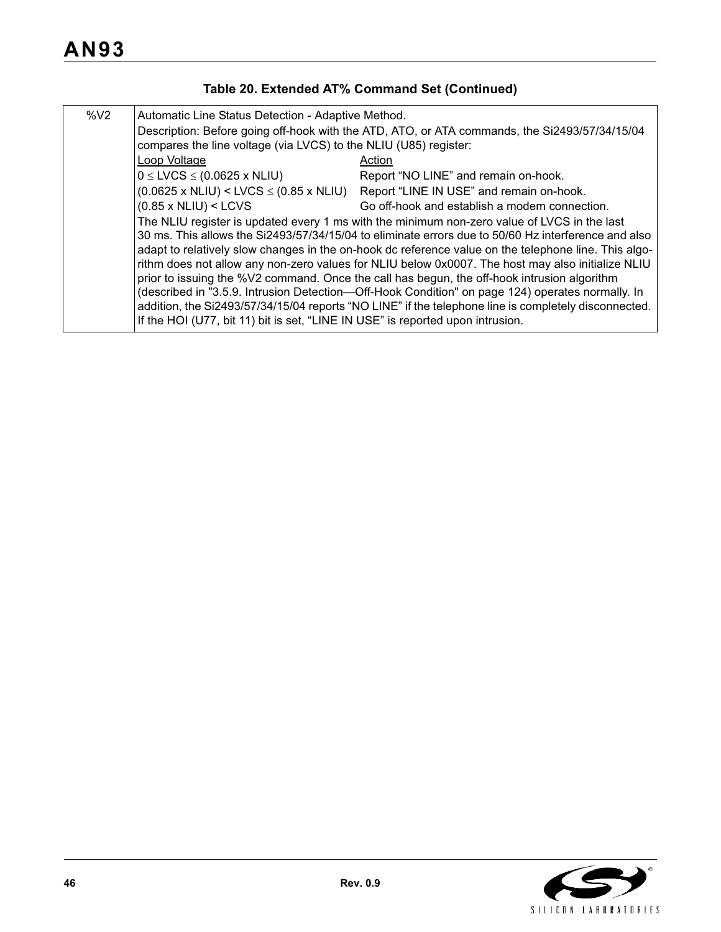| Table 20. Extended AT% Command Set (Continued) |  |  |
|------------------------------------------------|--|--|
|------------------------------------------------|--|--|

| $\%$ V <sub>2</sub> | Automatic Line Status Detection - Adaptive Method.<br>Description: Before going off-hook with the ATD, ATO, or ATA commands, the Si2493/57/34/15/04<br>compares the line voltage (via LVCS) to the NLIU (U85) register:                                                                                                                                                                                                                                                                                                                                                                                                                                                                                                                                                                                      |                                                                                                    |  |  |  |
|---------------------|--------------------------------------------------------------------------------------------------------------------------------------------------------------------------------------------------------------------------------------------------------------------------------------------------------------------------------------------------------------------------------------------------------------------------------------------------------------------------------------------------------------------------------------------------------------------------------------------------------------------------------------------------------------------------------------------------------------------------------------------------------------------------------------------------------------|----------------------------------------------------------------------------------------------------|--|--|--|
|                     | Loop Voltage                                                                                                                                                                                                                                                                                                                                                                                                                                                                                                                                                                                                                                                                                                                                                                                                 | Action                                                                                             |  |  |  |
|                     | $0 \leq$ LVCS $\leq$ (0.0625 x NLIU)                                                                                                                                                                                                                                                                                                                                                                                                                                                                                                                                                                                                                                                                                                                                                                         | Report "NO LINE" and remain on-hook.                                                               |  |  |  |
|                     |                                                                                                                                                                                                                                                                                                                                                                                                                                                                                                                                                                                                                                                                                                                                                                                                              | $(0.0625 \times \text{NLIU})$ < LVCS $\leq$ (0.85 x NLIU) Report "LINE IN USE" and remain on-hook. |  |  |  |
|                     | $(0.85 \times \text{NLIU}) < \text{LCVS}$                                                                                                                                                                                                                                                                                                                                                                                                                                                                                                                                                                                                                                                                                                                                                                    | Go off-hook and establish a modem connection.                                                      |  |  |  |
|                     | The NLIU register is updated every 1 ms with the minimum non-zero value of LVCS in the last<br>30 ms. This allows the Si2493/57/34/15/04 to eliminate errors due to 50/60 Hz interference and also<br>adapt to relatively slow changes in the on-hook dc reference value on the telephone line. This algo-<br>rithm does not allow any non-zero values for NLIU below 0x0007. The host may also initialize NLIU<br>prior to issuing the %V2 command. Once the call has begun, the off-hook intrusion algorithm<br>(described in "3.5.9. Intrusion Detection—Off-Hook Condition" on page 124) operates normally. In<br>addition, the Si2493/57/34/15/04 reports "NO LINE" if the telephone line is completely disconnected.<br>If the HOI (U77, bit 11) bit is set, "LINE IN USE" is reported upon intrusion. |                                                                                                    |  |  |  |

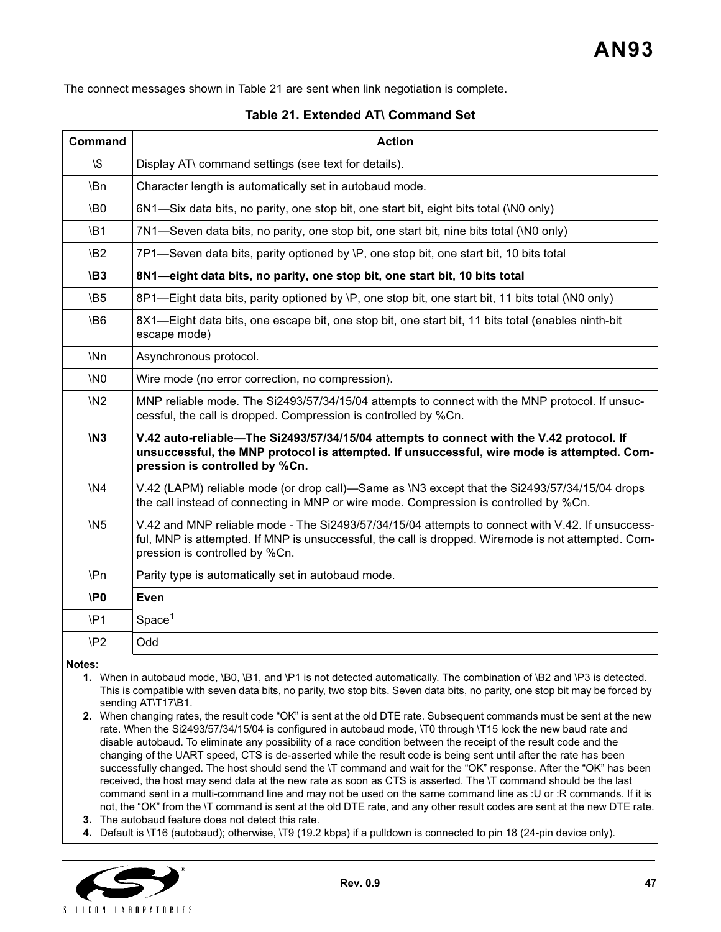The connect messages shown in Table 21 are sent when link negotiation is complete.

#### **Table 21. Extended AT\ Command Set**

| <b>Command</b>  | <b>Action</b>                                                                                                                                                                                                                             |
|-----------------|-------------------------------------------------------------------------------------------------------------------------------------------------------------------------------------------------------------------------------------------|
| $\sqrt{3}$      | Display AT\ command settings (see text for details).                                                                                                                                                                                      |
| \Bn             | Character length is automatically set in autobaud mode.                                                                                                                                                                                   |
| <b>\B0</b>      | 6N1—Six data bits, no parity, one stop bit, one start bit, eight bits total (\N0 only)                                                                                                                                                    |
| <b>\B1</b>      | 7N1—Seven data bits, no parity, one stop bit, one start bit, nine bits total (\N0 only)                                                                                                                                                   |
| \B <sub>2</sub> | 7P1—Seven data bits, parity optioned by \P, one stop bit, one start bit, 10 bits total                                                                                                                                                    |
| <b>\B3</b>      | 8N1-eight data bits, no parity, one stop bit, one start bit, 10 bits total                                                                                                                                                                |
| \B5             | 8P1—Eight data bits, parity optioned by \P, one stop bit, one start bit, 11 bits total (\N0 only)                                                                                                                                         |
| <b>\B6</b>      | 8X1—Eight data bits, one escape bit, one stop bit, one start bit, 11 bits total (enables ninth-bit<br>escape mode)                                                                                                                        |
| \Nn             | Asynchronous protocol.                                                                                                                                                                                                                    |
| \N <sub>0</sub> | Wire mode (no error correction, no compression).                                                                                                                                                                                          |
| <b>\N2</b>      | MNP reliable mode. The Si2493/57/34/15/04 attempts to connect with the MNP protocol. If unsuc-<br>cessful, the call is dropped. Compression is controlled by %Cn.                                                                         |
| <b>\N3</b>      | V.42 auto-reliable—The Si2493/57/34/15/04 attempts to connect with the V.42 protocol. If<br>unsuccessful, the MNP protocol is attempted. If unsuccessful, wire mode is attempted. Com-<br>pression is controlled by %Cn.                  |
| <b>\N4</b>      | V.42 (LAPM) reliable mode (or drop call)-Same as \N3 except that the Si2493/57/34/15/04 drops<br>the call instead of connecting in MNP or wire mode. Compression is controlled by %Cn.                                                    |
| <b>\N5</b>      | V.42 and MNP reliable mode - The Si2493/57/34/15/04 attempts to connect with V.42. If unsuccess-<br>ful, MNP is attempted. If MNP is unsuccessful, the call is dropped. Wiremode is not attempted. Com-<br>pression is controlled by %Cn. |
| \Pn             | Parity type is automatically set in autobaud mode.                                                                                                                                                                                        |
| <b>\P0</b>      | <b>Even</b>                                                                                                                                                                                                                               |
| $\mathsf{P}1$   | Space <sup>1</sup>                                                                                                                                                                                                                        |
| \P <sub>2</sub> | Odd                                                                                                                                                                                                                                       |

**Notes:**

- **1.** When in autobaud mode, \B0, \B1, and \P1 is not detected automatically. The combination of \B2 and \P3 is detected. This is compatible with seven data bits, no parity, two stop bits. Seven data bits, no parity, one stop bit may be forced by sending AT\T17\B1.
- **2.** When changing rates, the result code "OK" is sent at the old DTE rate. Subsequent commands must be sent at the new rate. When the Si2493/57/34/15/04 is configured in autobaud mode, \T0 through \T15 lock the new baud rate and disable autobaud. To eliminate any possibility of a race condition between the receipt of the result code and the changing of the UART speed, CTS is de-asserted while the result code is being sent until after the rate has been successfully changed. The host should send the \T command and wait for the "OK" response. After the "OK" has been received, the host may send data at the new rate as soon as CTS is asserted. The \T command should be the last command sent in a multi-command line and may not be used on the same command line as :U or :R commands. If it is not, the "OK" from the \T command is sent at the old DTE rate, and any other result codes are sent at the new DTE rate.
- **3.** The autobaud feature does not detect this rate.
- **4.** Default is \T16 (autobaud); otherwise, \T9 (19.2 kbps) if a pulldown is connected to pin 18 (24-pin device only).

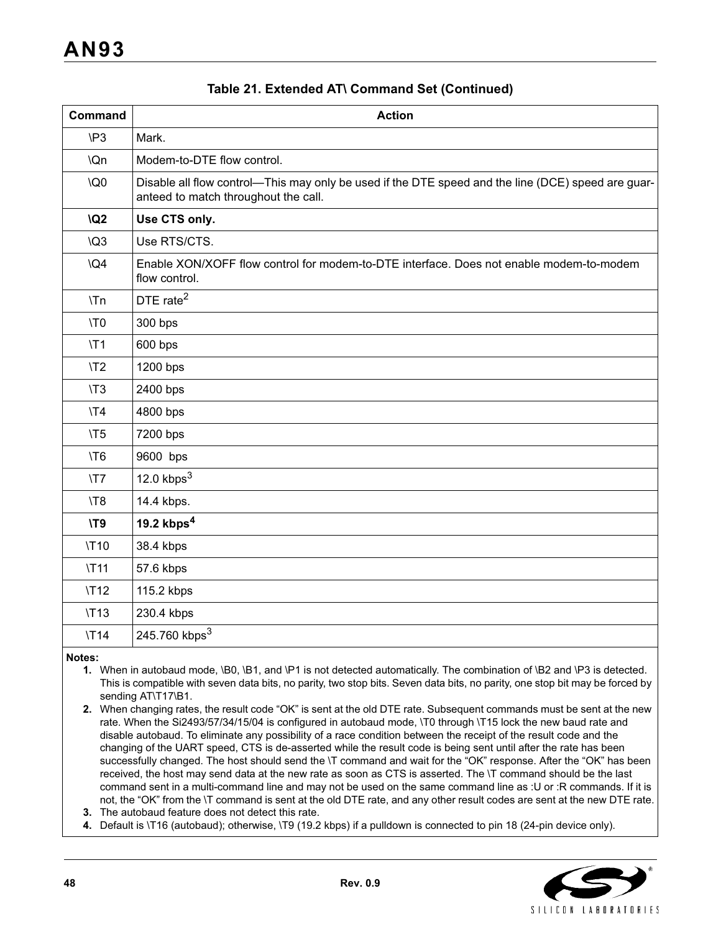| <b>Command</b>  | <b>Action</b>                                                                                                                              |
|-----------------|--------------------------------------------------------------------------------------------------------------------------------------------|
| $\mathsf{P}3$   | Mark.                                                                                                                                      |
| \Qn             | Modem-to-DTE flow control.                                                                                                                 |
| <b>\Q0</b>      | Disable all flow control—This may only be used if the DTE speed and the line (DCE) speed are guar-<br>anteed to match throughout the call. |
| <b>\Q2</b>      | Use CTS only.                                                                                                                              |
| $\sqrt{Q}3$     | Use RTS/CTS.                                                                                                                               |
| $\overline{Q4}$ | Enable XON/XOFF flow control for modem-to-DTE interface. Does not enable modem-to-modem<br>flow control.                                   |
| $\mathcal{L}$   | DTE rate <sup>2</sup>                                                                                                                      |
| \T0             | 300 bps                                                                                                                                    |
| $\Upsilon$      | 600 bps                                                                                                                                    |
| $\sqrt{72}$     | 1200 bps                                                                                                                                   |
| $\sqrt{13}$     | 2400 bps                                                                                                                                   |
| $\sqrt{74}$     | 4800 bps                                                                                                                                   |
| $\sqrt{5}$      | 7200 bps                                                                                                                                   |
| \T6             | 9600 bps                                                                                                                                   |
| $\sqrt{77}$     | 12.0 $kbps3$                                                                                                                               |
| $\sqrt{78}$     | 14.4 kbps.                                                                                                                                 |
| <b>\T9</b>      | 19.2 $kbps4$                                                                                                                               |
| <b>\T10</b>     | 38.4 kbps                                                                                                                                  |
| <b>\T11</b>     | 57.6 kbps                                                                                                                                  |
| <b>\T12</b>     | 115.2 kbps                                                                                                                                 |
| <b>\T13</b>     | 230.4 kbps                                                                                                                                 |
| <b>\T14</b>     | 245.760 kbps <sup>3</sup>                                                                                                                  |

### **Table 21. Extended AT\ Command Set (Continued)**

**Notes:**

- **1.** When in autobaud mode, \B0, \B1, and \P1 is not detected automatically. The combination of \B2 and \P3 is detected. This is compatible with seven data bits, no parity, two stop bits. Seven data bits, no parity, one stop bit may be forced by sending AT\T17\B1.
- **2.** When changing rates, the result code "OK" is sent at the old DTE rate. Subsequent commands must be sent at the new rate. When the Si2493/57/34/15/04 is configured in autobaud mode, \T0 through \T15 lock the new baud rate and disable autobaud. To eliminate any possibility of a race condition between the receipt of the result code and the changing of the UART speed, CTS is de-asserted while the result code is being sent until after the rate has been successfully changed. The host should send the \T command and wait for the "OK" response. After the "OK" has been received, the host may send data at the new rate as soon as CTS is asserted. The \T command should be the last command sent in a multi-command line and may not be used on the same command line as :U or :R commands. If it is not, the "OK" from the \T command is sent at the old DTE rate, and any other result codes are sent at the new DTE rate.
- **3.** The autobaud feature does not detect this rate.

**4.** Default is \T16 (autobaud); otherwise, \T9 (19.2 kbps) if a pulldown is connected to pin 18 (24-pin device only).

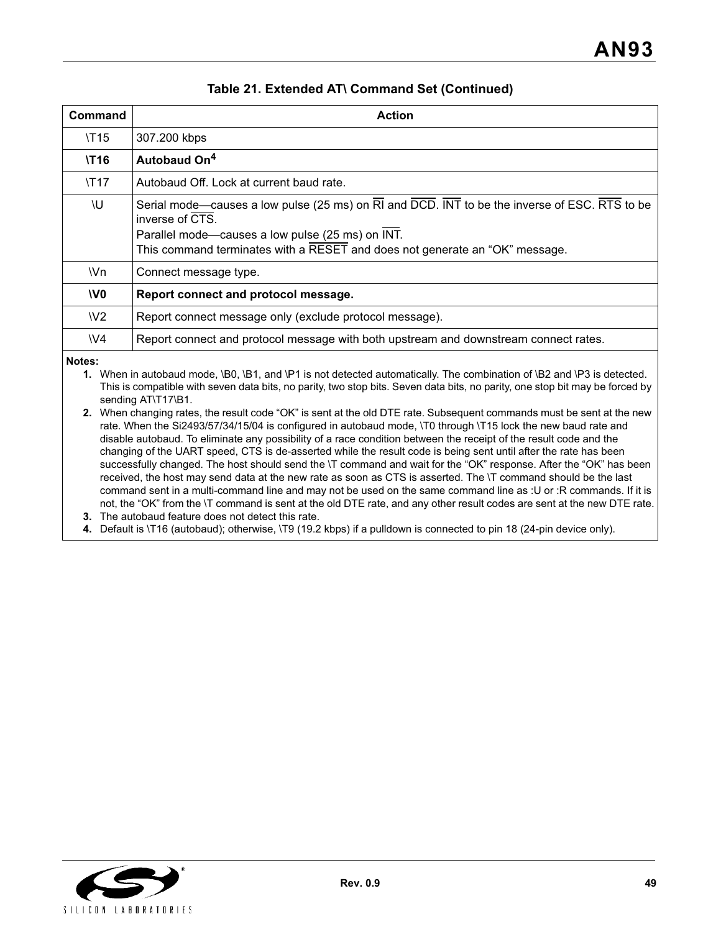| Command        | <b>Action</b>                                                                                                                                                                                                                                       |
|----------------|-----------------------------------------------------------------------------------------------------------------------------------------------------------------------------------------------------------------------------------------------------|
| <b>\T15</b>    | 307.200 kbps                                                                                                                                                                                                                                        |
| <b>\T16</b>    | Autobaud On <sup>4</sup>                                                                                                                                                                                                                            |
| <b>\T17</b>    | Autobaud Off. Lock at current baud rate.                                                                                                                                                                                                            |
| ۱U             | Serial mode—causes a low pulse (25 ms) on RI and DCD. INT to be the inverse of ESC. RTS to be<br>inverse of CTS.<br>Parallel mode-causes a low pulse (25 ms) on INT.<br>This command terminates with a RESET and does not generate an "OK" message. |
| \Vn            | Connect message type.                                                                                                                                                                                                                               |
| V <sub>0</sub> | Report connect and protocol message.                                                                                                                                                                                                                |
| W <sub>2</sub> | Report connect message only (exclude protocol message).                                                                                                                                                                                             |
| W <sub>4</sub> | Report connect and protocol message with both upstream and downstream connect rates.                                                                                                                                                                |

### **Table 21. Extended AT\ Command Set (Continued)**

**Notes:**

**1.** When in autobaud mode, \B0, \B1, and \P1 is not detected automatically. The combination of \B2 and \P3 is detected. This is compatible with seven data bits, no parity, two stop bits. Seven data bits, no parity, one stop bit may be forced by sending AT\T17\B1.

**2.** When changing rates, the result code "OK" is sent at the old DTE rate. Subsequent commands must be sent at the new rate. When the Si2493/57/34/15/04 is configured in autobaud mode, \T0 through \T15 lock the new baud rate and disable autobaud. To eliminate any possibility of a race condition between the receipt of the result code and the changing of the UART speed, CTS is de-asserted while the result code is being sent until after the rate has been successfully changed. The host should send the \T command and wait for the "OK" response. After the "OK" has been received, the host may send data at the new rate as soon as CTS is asserted. The \T command should be the last command sent in a multi-command line and may not be used on the same command line as :U or :R commands. If it is not, the "OK" from the \T command is sent at the old DTE rate, and any other result codes are sent at the new DTE rate.

**3.** The autobaud feature does not detect this rate.

**4.** Default is \T16 (autobaud); otherwise, \T9 (19.2 kbps) if a pulldown is connected to pin 18 (24-pin device only).

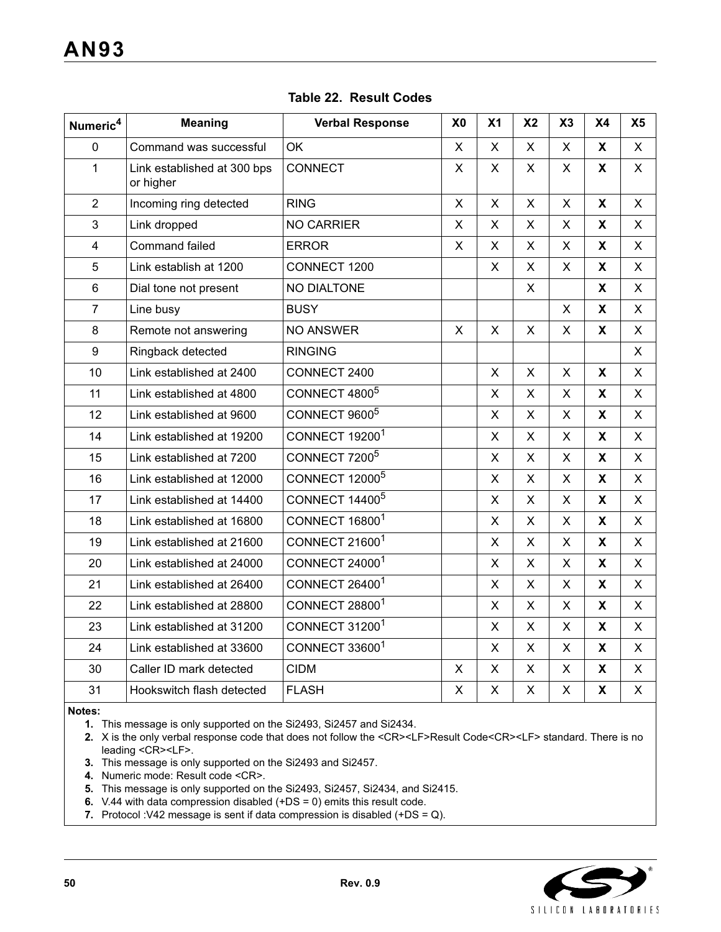| Numeric <sup>4</sup> | <b>Meaning</b>                           | <b>Verbal Response</b>           | X <sub>0</sub> | X <sub>1</sub> | X <sub>2</sub> | X3           | <b>X4</b>                 | X <sub>5</sub> |
|----------------------|------------------------------------------|----------------------------------|----------------|----------------|----------------|--------------|---------------------------|----------------|
| 0                    | Command was successful                   | OK                               | X              | X              | X              | X            | X                         | $\mathsf{X}$   |
| $\mathbf{1}$         | Link established at 300 bps<br>or higher | CONNECT                          | X              | X              | X              | X            | X                         | $\mathsf{X}$   |
| $\overline{2}$       | Incoming ring detected                   | <b>RING</b>                      | X              | X              | $\mathsf{X}$   | $\mathsf{X}$ | X                         | X              |
| 3                    | Link dropped                             | <b>NO CARRIER</b>                | X              | X              | X              | X            | X                         | X              |
| $\overline{4}$       | Command failed                           | <b>ERROR</b>                     | X              | X              | X              | $\mathsf{X}$ | X                         | X              |
| 5                    | Link establish at 1200                   | CONNECT 1200                     |                | X              | $\mathsf{X}$   | X            | X                         | X              |
| 6                    | Dial tone not present                    | NO DIALTONE                      |                |                | $\mathsf{X}$   |              | X                         | X              |
| $\overline{7}$       | Line busy                                | <b>BUSY</b>                      |                |                |                | $\mathsf{X}$ | X                         | $\mathsf{X}$   |
| 8                    | Remote not answering                     | <b>NO ANSWER</b>                 | X              | X              | X              | X            | X                         | X              |
| 9                    | Ringback detected                        | <b>RINGING</b>                   |                |                |                |              |                           | X              |
| 10                   | Link established at 2400                 | CONNECT 2400                     |                | X              | X              | X            | X                         | $\mathsf{X}$   |
| 11                   | Link established at 4800                 | CONNECT 4800 <sup>5</sup>        |                | X              | $\mathsf{X}$   | X            | $\boldsymbol{\mathsf{x}}$ | $\mathsf{X}$   |
| 12                   | Link established at 9600                 | CONNECT 9600 <sup>5</sup>        |                | X              | $\mathsf{X}$   | X            | X                         | $\mathsf{X}$   |
| 14                   | Link established at 19200                | CONNECT 19200 <sup>1</sup>       |                | X              | X.             | X            | X                         | X              |
| 15                   | Link established at 7200                 | CONNECT 7200 <sup>5</sup>        |                | X              | X              | X            | X                         | X              |
| 16                   | Link established at 12000                | <b>CONNECT 12000<sup>5</sup></b> |                | X              | X              | X            | X                         | X              |
| 17                   | Link established at 14400                | CONNECT 14400 <sup>5</sup>       |                | X              | X.             | X            | X                         | X              |
| 18                   | Link established at 16800                | CONNECT 16800 <sup>1</sup>       |                | X              | X              | X            | X                         | X              |
| 19                   | Link established at 21600                | CONNECT 21600 <sup>1</sup>       |                | X              | $\mathsf{X}$   | $\mathsf{X}$ | X                         | $\mathsf{X}$   |
| 20                   | Link established at 24000                | CONNECT 24000 <sup>1</sup>       |                | Χ              | X              | X            | X                         | X              |
| 21                   | Link established at 26400                | CONNECT 26400 <sup>1</sup>       |                | X              | X              | X            | X                         | X              |
| 22                   | Link established at 28800                | CONNECT 28800 <sup>1</sup>       |                | $\mathsf{X}$   | $\mathsf{X}$   | $\mathsf{X}$ | $\mathsf{X}$              | $\mathsf{X}$   |
| 23                   | Link established at 31200                | CONNECT 31200 <sup>1</sup>       |                | X              | X              | X            | X                         | X              |
| 24                   | Link established at 33600                | CONNECT 33600 <sup>1</sup>       |                | X              | X              | X            | $\pmb{\chi}$              | X              |
| 30                   | Caller ID mark detected                  | <b>CIDM</b>                      | X              | X              | $\mathsf{X}$   | X            | X                         | $\mathsf{X}$   |
| 31                   | Hookswitch flash detected                | <b>FLASH</b>                     | $\mathsf X$    | X              | X              | X            | X                         | $\pmb{\times}$ |

## **Table 22. Result Codes**

**Notes:**

**1.** This message is only supported on the Si2493, Si2457 and Si2434.

**2.** X is the only verbal response code that does not follow the <CR><LF>Result Code<CR><LF> standard. There is no leading <CR><LF>.

- **3.** This message is only supported on the Si2493 and Si2457.
- **4.** Numeric mode: Result code <CR>.

**5.** This message is only supported on the Si2493, Si2457, Si2434, and Si2415.

- **6.** V.44 with data compression disabled (+DS = 0) emits this result code.
- **7.** Protocol :V42 message is sent if data compression is disabled (+DS = Q).

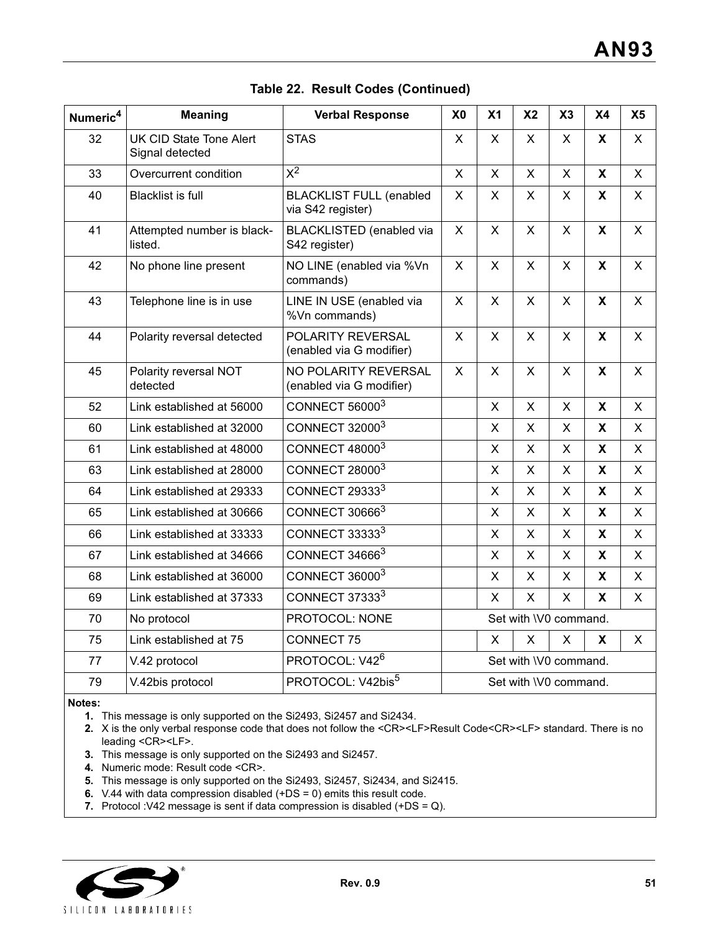| Numeric <sup>4</sup> | <b>Meaning</b>                             | <b>Verbal Response</b>                              | X <sub>0</sub>        | X <sub>1</sub>            | X <sub>2</sub>            | X3                        | <b>X4</b>   | X <sub>5</sub> |
|----------------------|--------------------------------------------|-----------------------------------------------------|-----------------------|---------------------------|---------------------------|---------------------------|-------------|----------------|
| 32                   | UK CID State Tone Alert<br>Signal detected | <b>STAS</b>                                         | X                     | X                         | X                         | X                         | X           | X              |
| 33                   | Overcurrent condition                      | $\overline{x^2}$                                    | $\mathsf{x}$          | $\mathsf{X}$              | $\mathsf{X}$              | $\pmb{\times}$            | X           | X              |
| 40                   | <b>Blacklist is full</b>                   | <b>BLACKLIST FULL (enabled</b><br>via S42 register) |                       | X                         | X                         | $\mathsf{X}$              | X           | X              |
| 41                   | Attempted number is black-<br>listed.      | <b>BLACKLISTED</b> (enabled via<br>S42 register)    | X                     | X                         | $\sf X$                   | X                         | X           | X              |
| 42                   | No phone line present                      | NO LINE (enabled via %Vn<br>commands)               | $\mathsf{X}$          | X                         | $\sf X$                   | $\sf X$                   | X           | X              |
| 43                   | Telephone line is in use                   | LINE IN USE (enabled via<br>%Vn commands)           | X                     | $\boldsymbol{\mathsf{X}}$ | $\mathsf{X}$              | $\boldsymbol{\mathsf{X}}$ | $\mathbf x$ | X              |
| 44                   | Polarity reversal detected                 | POLARITY REVERSAL<br>(enabled via G modifier)       | $\mathsf X$           | $\pmb{\times}$            | $\mathsf{X}$              | $\pmb{\times}$            | X           | $\pmb{\times}$ |
| 45                   | Polarity reversal NOT<br>detected          | NO POLARITY REVERSAL<br>(enabled via G modifier)    | X                     | X                         | X                         | X                         | X           | X              |
| 52                   | Link established at 56000                  | CONNECT 560003                                      |                       | X                         | X                         | X                         | X           | X              |
| 60                   | Link established at 32000                  | CONNECT 32000 <sup>3</sup>                          |                       | $\sf X$                   | $\sf X$                   | X                         | X           | X              |
| 61                   | Link established at 48000                  | CONNECT 480003                                      |                       | $\boldsymbol{\mathsf{X}}$ | $\mathsf{X}$              | X                         | X           | $\mathsf{X}$   |
| 63                   | Link established at 28000                  | CONNECT 28000 <sup>3</sup>                          |                       | $\mathsf X$               | $\mathsf{X}$              | $\pmb{\mathsf{X}}$        | X           | X              |
| 64                   | Link established at 29333                  | <b>CONNECT 293333</b>                               |                       | X                         | $\boldsymbol{\mathsf{X}}$ | $\boldsymbol{\mathsf{X}}$ | X           | X              |
| 65                   | Link established at 30666                  | CONNECT 306663                                      |                       | $\boldsymbol{\mathsf{X}}$ | $\mathsf{X}$              | $\mathsf{X}$              | X           | $\mathsf{X}$   |
| 66                   | Link established at 33333                  | CONNECT 333333                                      |                       | $\mathsf X$               | $\mathsf{X}$              | $\pmb{\times}$            | X           | X              |
| 67                   | Link established at 34666                  | CONNECT 346663                                      |                       | X                         | X                         | X                         | X           | X              |
| 68                   | Link established at 36000                  | <b>CONNECT 360003</b>                               |                       | X                         | X                         | X                         | X           | X              |
| 69                   | Link established at 37333                  | CONNECT 373333                                      |                       | X                         | X                         | X                         | X           | X              |
| 70                   | No protocol                                | PROTOCOL: NONE                                      | Set with \V0 command. |                           |                           |                           |             |                |
| 75                   | Link established at 75                     | <b>CONNECT 75</b>                                   | X<br>X<br>X           |                           | X                         | X                         |             |                |
| 77                   | V.42 protocol                              | PROTOCOL: V42 <sup>6</sup>                          | Set with \V0 command. |                           |                           |                           |             |                |
| 79                   | V.42bis protocol                           | PROTOCOL: V42bis <sup>5</sup>                       | Set with \V0 command. |                           |                           |                           |             |                |

|  | Table 22. Result Codes (Continued) |  |
|--|------------------------------------|--|
|--|------------------------------------|--|

#### **Notes:**

**1.** This message is only supported on the Si2493, Si2457 and Si2434.

**2.** X is the only verbal response code that does not follow the <CR><LF>Result Code<CR><LF> standard. There is no leading <CR><LF>.

- **3.** This message is only supported on the Si2493 and Si2457.
- **4.** Numeric mode: Result code <CR>.

**5.** This message is only supported on the Si2493, Si2457, Si2434, and Si2415.

- **6.** V.44 with data compression disabled (+DS = 0) emits this result code.
- **7.** Protocol :V42 message is sent if data compression is disabled (+DS = Q).

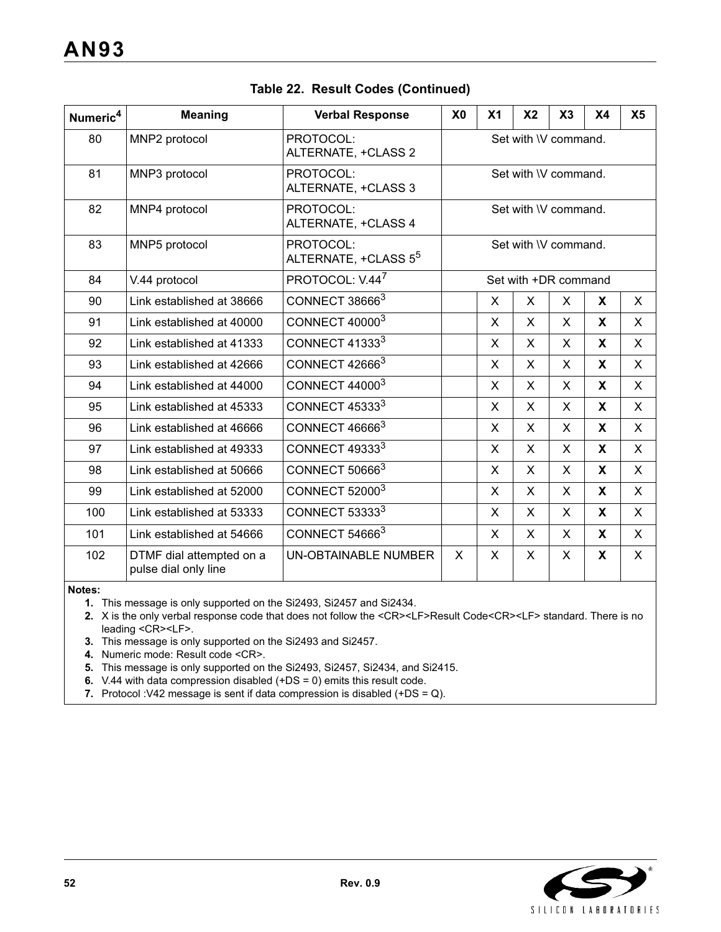| Numeric <sup>4</sup> | <b>Meaning</b>                                   | <b>Verbal Response</b>                        | X <sub>0</sub>       | X <sub>1</sub> | X <sub>2</sub> | X3                          | X <sub>4</sub> | X <sub>5</sub> |
|----------------------|--------------------------------------------------|-----------------------------------------------|----------------------|----------------|----------------|-----------------------------|----------------|----------------|
| 80                   | MNP2 protocol                                    | PROTOCOL:<br>ALTERNATE, +CLASS 2              | Set with \V command. |                |                |                             |                |                |
| 81                   | MNP3 protocol                                    | PROTOCOL:<br>ALTERNATE, +CLASS 3              |                      |                |                | Set with \V command.        |                |                |
| 82                   | MNP4 protocol                                    | PROTOCOL:<br>ALTERNATE, +CLASS 4              |                      |                |                | Set with <i>IV</i> command. |                |                |
| 83                   | MNP5 protocol                                    | PROTOCOL:<br>ALTERNATE, +CLASS 5 <sup>5</sup> |                      |                |                | Set with <i>IV</i> command. |                |                |
| 84                   | V.44 protocol                                    | PROTOCOL: V.44 <sup>7</sup>                   |                      |                |                | Set with +DR command        |                |                |
| 90                   | Link established at 38666                        | CONNECT 386663                                |                      | X              | X              | X                           | X              | $\mathsf{X}$   |
| 91                   | Link established at 40000                        | CONNECT 40000 <sup>3</sup>                    |                      | X              | $\mathsf{X}$   | X                           | X              | X              |
| 92                   | Link established at 41333                        | CONNECT 41333 <sup>3</sup>                    |                      | X              | X              | X                           | X              | X              |
| 93                   | Link established at 42666                        | CONNECT 426663                                |                      | X              | X              | X                           | X              | $\mathsf{X}$   |
| 94                   | Link established at 44000                        | CONNECT 44000 <sup>3</sup>                    |                      | X              | $\mathsf{X}$   | $\mathsf{X}$                | X              | $\mathsf{X}$   |
| 95                   | Link established at 45333                        | CONNECT 45333 <sup>3</sup>                    |                      | X              | X              | X                           | X              | X              |
| 96                   | Link established at 46666                        | CONNECT 466663                                |                      | X              | X              | X                           | X              | X              |
| 97                   | Link established at 49333                        | CONNECT 49333 <sup>3</sup>                    |                      | X.             | X              | X                           | X              | X              |
| 98                   | Link established at 50666                        | CONNECT 506663                                |                      | X              | X              | X                           | X              | X              |
| 99                   | Link established at 52000                        | <b>CONNECT 520003</b>                         |                      | X              | X              | X                           | X              | X              |
| 100                  | Link established at 53333                        | CONNECT 533333                                |                      | X.             | X              | X                           | X.             | X              |
| 101                  | Link established at 54666                        | CONNECT 546663                                |                      | X.             | X              | X                           | X              | X              |
| 102                  | DTMF dial attempted on a<br>pulse dial only line | <b>UN-OBTAINABLE NUMBER</b>                   | X<br>X<br>X<br>X     |                | X              | X                           |                |                |

### **Table 22. Result Codes (Continued)**

#### **Notes:**

**1.** This message is only supported on the Si2493, Si2457 and Si2434.

**2.** X is the only verbal response code that does not follow the <CR><LF>Result Code<CR><LF> standard. There is no leading <CR><LF>.

**3.** This message is only supported on the Si2493 and Si2457.

**4.** Numeric mode: Result code <CR>.

**5.** This message is only supported on the Si2493, Si2457, Si2434, and Si2415.

- **6.** V.44 with data compression disabled (+DS = 0) emits this result code.
- **7.** Protocol :V42 message is sent if data compression is disabled (+DS = Q).

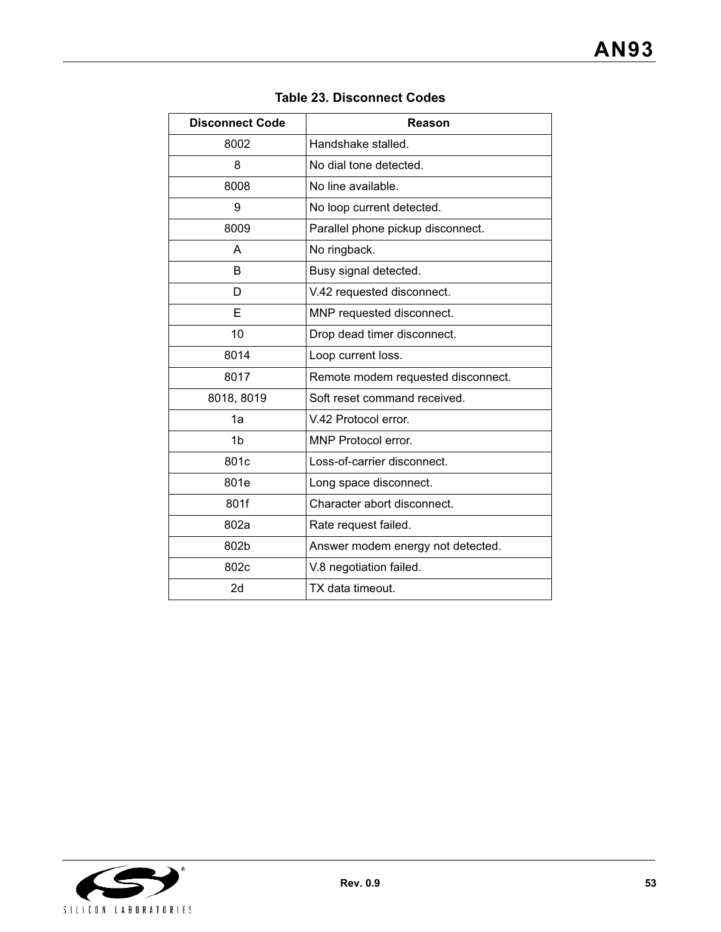| <b>Disconnect Code</b> | Reason                             |
|------------------------|------------------------------------|
| 8002                   | Handshake stalled.                 |
| 8                      | No dial tone detected.             |
| 8008                   | No line available.                 |
| 9                      | No loop current detected.          |
| 8009                   | Parallel phone pickup disconnect.  |
| А                      | No ringback.                       |
| B                      | Busy signal detected.              |
| D                      | V.42 requested disconnect.         |
| Е                      | MNP requested disconnect.          |
| 10                     | Drop dead timer disconnect.        |
| 8014                   | Loop current loss.                 |
| 8017                   | Remote modem requested disconnect. |
| 8018, 8019             | Soft reset command received.       |
| 1a                     | V.42 Protocol error.               |
| 1 <sub>b</sub>         | MNP Protocol error.                |
| 801c                   | Loss-of-carrier disconnect.        |
| 801e                   | Long space disconnect.             |
| 801f                   | Character abort disconnect.        |
| 802a                   | Rate request failed.               |
| 802b                   | Answer modem energy not detected.  |
| 802c                   | V.8 negotiation failed.            |
| 2d                     | TX data timeout.                   |

## **Table 23. Disconnect Codes**

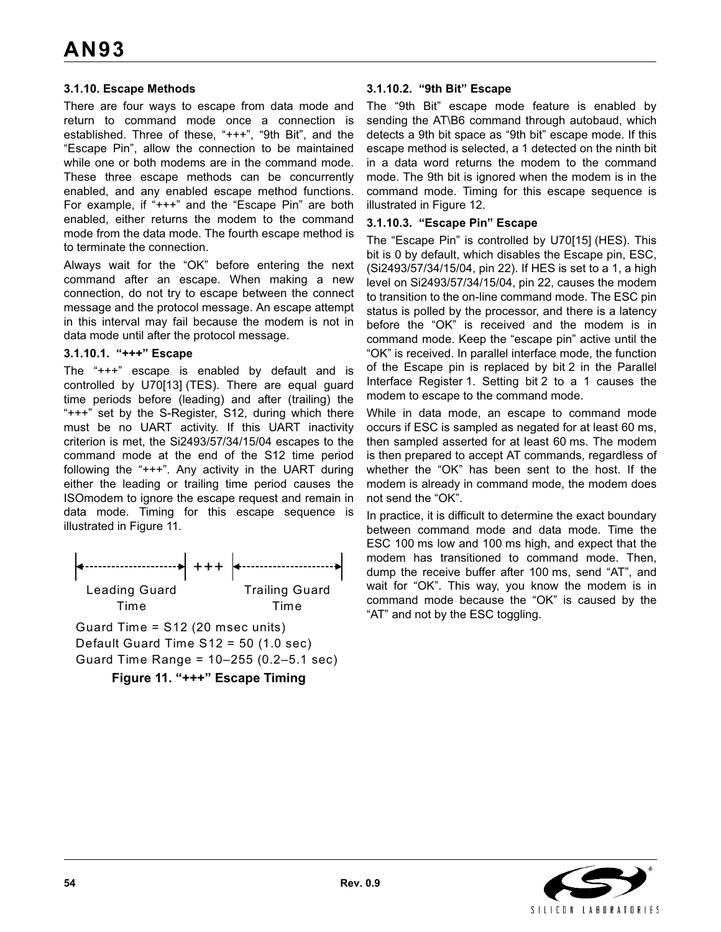### **3.1.10. Escape Methods**

There are four ways to escape from data mode and return to command mode once a connection is established. Three of these, "+++", "9th Bit", and the "Escape Pin", allow the connection to be maintained while one or both modems are in the command mode. These three escape methods can be concurrently enabled, and any enabled escape method functions. For example, if "+++" and the "Escape Pin" are both enabled, either returns the modem to the command mode from the data mode. The fourth escape method is to terminate the connection.

Always wait for the "OK" before entering the next command after an escape. When making a new connection, do not try to escape between the connect message and the protocol message. An escape attempt in this interval may fail because the modem is not in data mode until after the protocol message.

### **3.1.10.1. "+++" Escape**

The "+++" escape is enabled by default and is controlled by U70[13] (TES). There are equal guard time periods before (leading) and after (trailing) the "+++" set by the S-Register, S12, during which there must be no UART activity. If this UART inactivity criterion is met, the Si2493/57/34/15/04 escapes to the command mode at the end of the S12 time period following the "+++". Any activity in the UART during either the leading or trailing time period causes the ISOmodem to ignore the escape request and remain in data mode. Timing for this escape sequence is illustrated in Figure 11.



Guard Time Range = 10–255 (0.2–5.1 sec)

**Figure 11. "+++" Escape Timing**

#### **3.1.10.2. "9th Bit" Escape**

The "9th Bit" escape mode feature is enabled by sending the AT\B6 command through autobaud, which detects a 9th bit space as "9th bit" escape mode. If this escape method is selected, a 1 detected on the ninth bit in a data word returns the modem to the command mode. The 9th bit is ignored when the modem is in the command mode. Timing for this escape sequence is illustrated in Figure 12.

#### **3.1.10.3. "Escape Pin" Escape**

The "Escape Pin" is controlled by U70[15] (HES). This bit is 0 by default, which disables the Escape pin, ESC, (Si2493/57/34/15/04, pin 22). If HES is set to a 1, a high level on Si2493/57/34/15/04, pin 22, causes the modem to transition to the on-line command mode. The ESC pin status is polled by the processor, and there is a latency before the "OK" is received and the modem is in command mode. Keep the "escape pin" active until the "OK" is received. In parallel interface mode, the function of the Escape pin is replaced by bit 2 in the Parallel Interface Register 1. Setting bit 2 to a 1 causes the modem to escape to the command mode.

While in data mode, an escape to command mode occurs if ESC is sampled as negated for at least 60 ms, then sampled asserted for at least 60 ms. The modem is then prepared to accept AT commands, regardless of whether the "OK" has been sent to the host. If the modem is already in command mode, the modem does not send the "OK".

In practice, it is difficult to determine the exact boundary between command mode and data mode. Time the ESC 100 ms low and 100 ms high, and expect that the modem has transitioned to command mode. Then, dump the receive buffer after 100 ms, send "AT", and wait for "OK". This way, you know the modem is in command mode because the "OK" is caused by the "AT" and not by the ESC toggling.

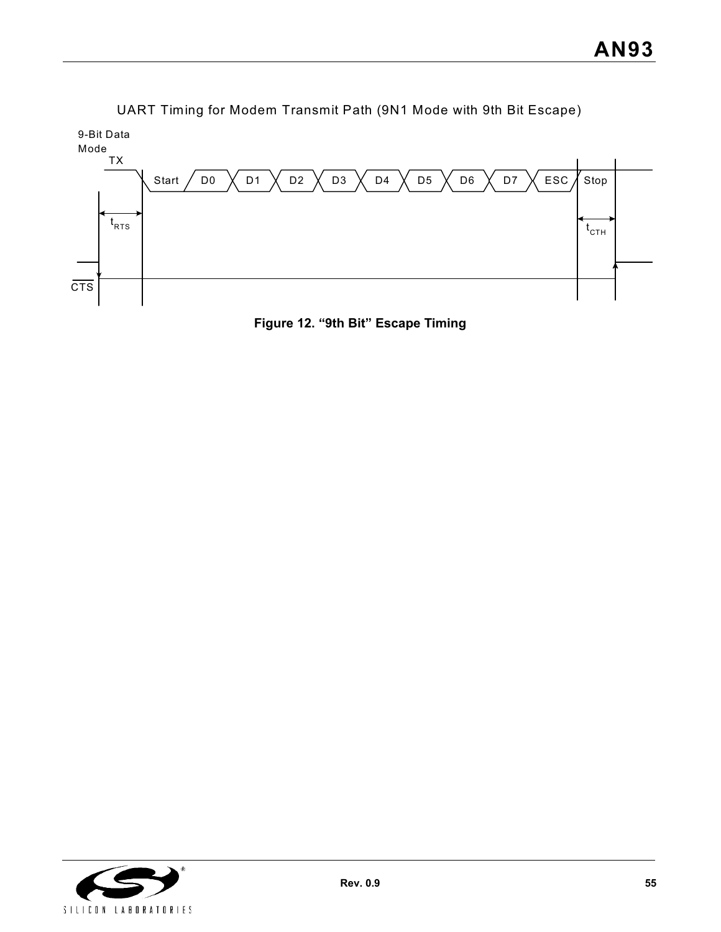

UART Timing for Modem Transmit Path (9N1 Mode with 9th Bit Escape)

**Figure 12. "9th Bit" Escape Timing**

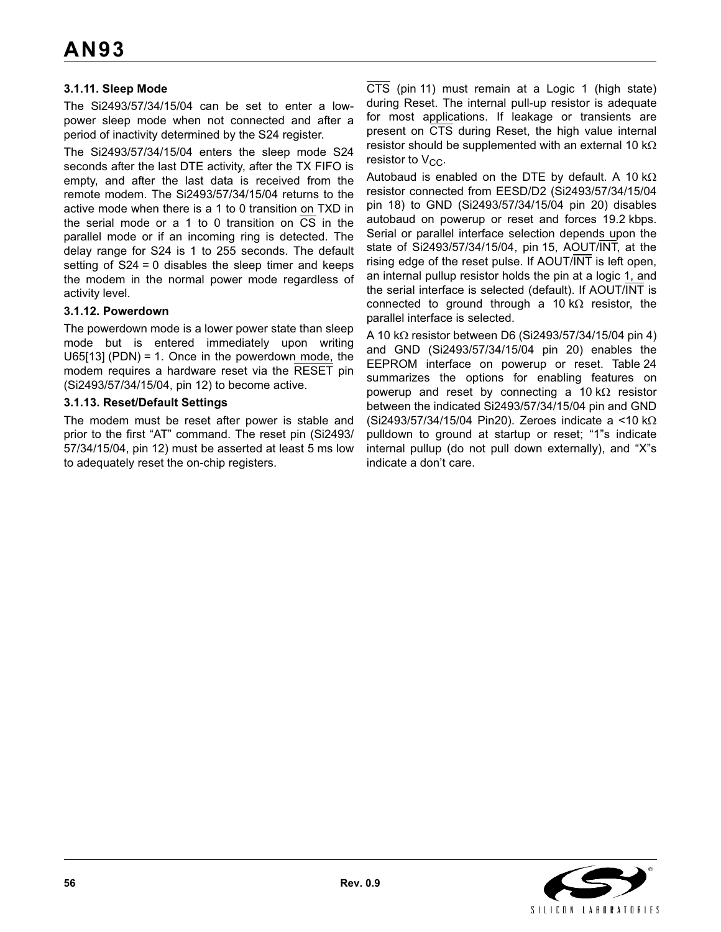### **3.1.11. Sleep Mode**

The Si2493/57/34/15/04 can be set to enter a lowpower sleep mode when not connected and after a period of inactivity determined by the S24 register.

The Si2493/57/34/15/04 enters the sleep mode S24 seconds after the last DTE activity, after the TX FIFO is empty, and after the last data is received from the remote modem. The Si2493/57/34/15/04 returns to the active mode when there is a 1 to 0 transition on TXD in the serial mode or a 1 to 0 transition on CS in the parallel mode or if an incoming ring is detected. The delay range for S24 is 1 to 255 seconds. The default setting of S24 = 0 disables the sleep timer and keeps the modem in the normal power mode regardless of activity level.

### **3.1.12. Powerdown**

The powerdown mode is a lower power state than sleep mode but is entered immediately upon writing U65[13] (PDN) = 1. Once in the powerdown mode, the modem requires a hardware reset via the RESET pin (Si2493/57/34/15/04, pin 12) to become active.

#### **3.1.13. Reset/Default Settings**

The modem must be reset after power is stable and prior to the first "AT" command. The reset pin (Si2493/ 57/34/15/04, pin 12) must be asserted at least 5 ms low to adequately reset the on-chip registers.

CTS (pin 11) must remain at a Logic 1 (high state) during Reset. The internal pull-up resistor is adequate for most applications. If leakage or transients are present on CTS during Reset, the high value internal resistor should be supplemented with an external 10 k $\Omega$ resistor to  $V_{CC}$ .

Autobaud is enabled on the DTE by default. A 10 k $\Omega$ resistor connected from EESD/D2 (Si2493/57/34/15/04 pin 18) to GND (Si2493/57/34/15/04 pin 20) disables autobaud on powerup or reset and forces 19.2 kbps. Serial or parallel interface selection depends upon the state of Si2493/57/34/15/04, pin 15, AOUT/INT, at the rising edge of the reset pulse. If AOUT/INT is left open, an internal pullup resistor holds the pin at a logic 1, and the serial interface is selected (default). If AOUT/INT is connected to ground through a 10 k $\Omega$  resistor, the parallel interface is selected.

A 10 k $\Omega$  resistor between D6 (Si2493/57/34/15/04 pin 4) and GND (Si2493/57/34/15/04 pin 20) enables the EEPROM interface on powerup or reset. Table 24 summarizes the options for enabling features on powerup and reset by connecting a 10 k $\Omega$  resistor between the indicated Si2493/57/34/15/04 pin and GND (Si2493/57/34/15/04 Pin20). Zeroes indicate a <10 k $\Omega$ pulldown to ground at startup or reset; "1"s indicate internal pullup (do not pull down externally), and "X"s indicate a don't care.

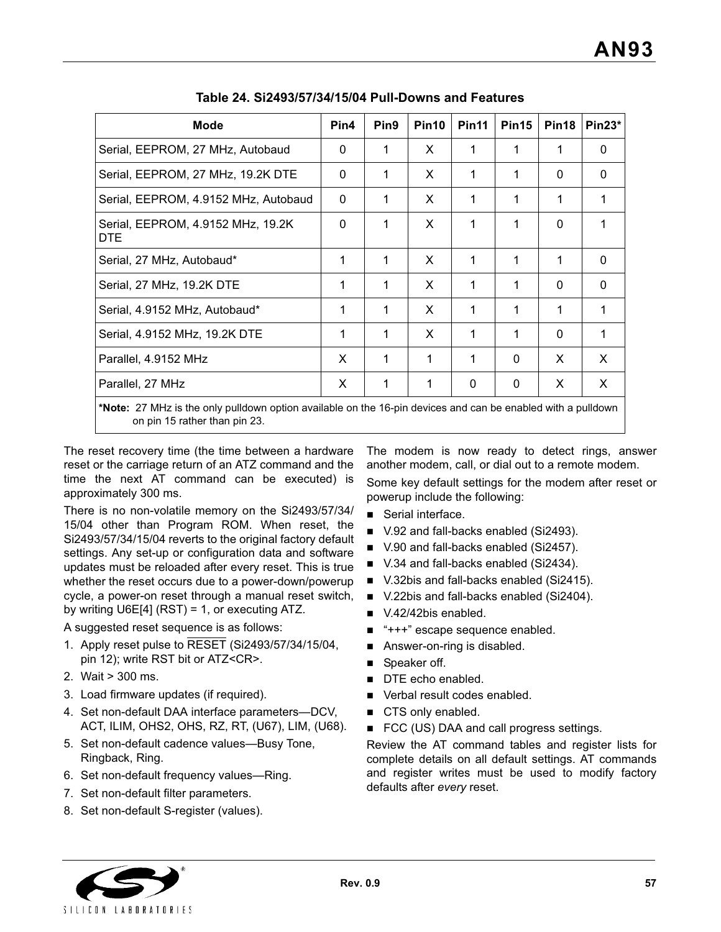| Mode                                            | Pin4                                                                                                         | Pin <sub>9</sub> | Pin <sub>10</sub> | Pin <sub>11</sub> | Pin <sub>15</sub> | Pin <sub>18</sub> | $Pin23*$ |  |  |
|-------------------------------------------------|--------------------------------------------------------------------------------------------------------------|------------------|-------------------|-------------------|-------------------|-------------------|----------|--|--|
| Serial, EEPROM, 27 MHz, Autobaud                |                                                                                                              |                  | X                 | 1                 | 1                 | 1                 | 0        |  |  |
| Serial, EEPROM, 27 MHz, 19.2K DTE               | 0                                                                                                            |                  | X                 | 1                 | 1                 | 0                 | 0        |  |  |
| Serial, EEPROM, 4.9152 MHz, Autobaud            | $\mathbf{0}$                                                                                                 | 1                | X                 | 1                 | 1                 | 1                 | 1        |  |  |
| Serial, EEPROM, 4.9152 MHz, 19.2K<br><b>DTE</b> | $\Omega$                                                                                                     | 1                | X                 | 1                 | 1                 | $\Omega$          | 1        |  |  |
| Serial, 27 MHz, Autobaud*                       | 1                                                                                                            | 1                | X                 | 1                 | 1                 | 1                 | $\Omega$ |  |  |
| Serial, 27 MHz, 19.2K DTE                       | 1                                                                                                            | 1                | X                 | 1                 | 1                 | 0                 | 0        |  |  |
| Serial, 4.9152 MHz, Autobaud*                   | 1                                                                                                            | 1                | X                 | 1                 | 1                 | 1                 | 1        |  |  |
| Serial, 4.9152 MHz, 19.2K DTE                   | 1                                                                                                            | 1                | X                 | 1                 | 1                 | $\mathbf{0}$      | 1        |  |  |
| Parallel, 4.9152 MHz                            | X                                                                                                            | 1                | 1                 | 1                 | $\Omega$          | X                 | X        |  |  |
| Parallel, 27 MHz                                | X                                                                                                            | 1                | 1                 | $\Omega$          | $\mathbf 0$       | X                 | X        |  |  |
|                                                 | *Nete: 27 MHz is the only pulldown option available on the 16 pin devices and can be enabled with a pulldown |                  |                   |                   |                   |                   |          |  |  |

**Table 24. Si2493/57/34/15/04 Pull-Downs and Features**

**\ote:** 27 MHz is the only pulldown option available on the 16-pin devices and can be enabled with a pulldown on pin 15 rather than pin 23.

The reset recovery time (the time between a hardware reset or the carriage return of an ATZ command and the time the next AT command can be executed) is approximately 300 ms.

There is no non-volatile memory on the Si2493/57/34/ 15/04 other than Program ROM. When reset, the Si2493/57/34/15/04 reverts to the original factory default settings. Any set-up or configuration data and software updates must be reloaded after every reset. This is true whether the reset occurs due to a power-down/powerup cycle, a power-on reset through a manual reset switch, by writing U6E[4] (RST) = 1, or executing ATZ.

A suggested reset sequence is as follows:

- 1. Apply reset pulse to RESET (Si2493/57/34/15/04, pin 12); write RST bit or ATZ<CR>.
- 2. Wait > 300 ms.
- 3. Load firmware updates (if required).
- 4. Set non-default DAA interface parameters—DCV, ACT, ILIM, OHS2, OHS, RZ, RT, (U67), LIM, (U68).
- 5. Set non-default cadence values—Busy Tone, Ringback, Ring.
- 6. Set non-default frequency values—Ring.
- 7. Set non-default filter parameters.
- 8. Set non-default S-register (values).

The modem is now ready to detect rings, answer another modem, call, or dial out to a remote modem. Some key default settings for the modem after reset or powerup include the following:

- Serial interface.
- V.92 and fall-backs enabled (Si2493).
- V.90 and fall-backs enabled (Si2457).
- V.34 and fall-backs enabled (Si2434).
- V.32bis and fall-backs enabled (Si2415).
- V.22bis and fall-backs enabled (Si2404).
- V.42/42bis enabled.
- "+++" escape sequence enabled.
- Answer-on-ring is disabled.
- Speaker off.
- DTE echo enabled.
- Verbal result codes enabled.
- CTS only enabled.
- FCC (US) DAA and call progress settings.

Review the AT command tables and register lists for complete details on all default settings. AT commands and register writes must be used to modify factory defaults after *every* reset.

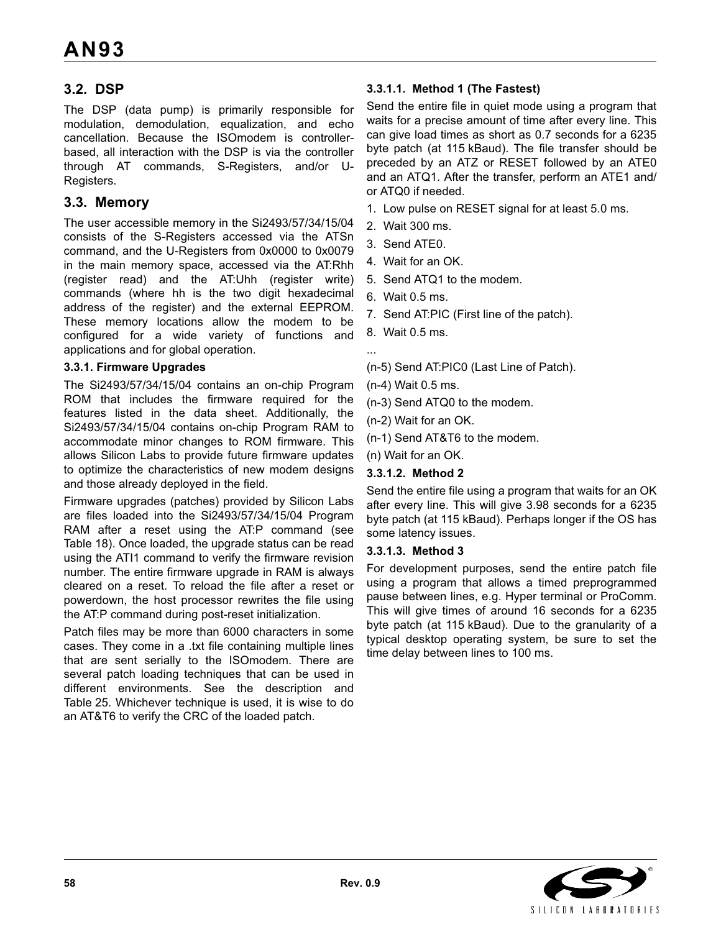## **3.2. DSP**

The DSP (data pump) is primarily responsible for modulation, demodulation, equalization, and echo cancellation. Because the ISOmodem is controllerbased, all interaction with the DSP is via the controller through AT commands, S-Registers, and/or U-Registers.

### **3.3. Memory**

The user accessible memory in the Si2493/57/34/15/04 consists of the S-Registers accessed via the ATSn command, and the U-Registers from 0x0000 to 0x0079 in the main memory space, accessed via the AT:Rhh (register read) and the AT:Uhh (register write) commands (where hh is the two digit hexadecimal address of the register) and the external EEPROM. These memory locations allow the modem to be configured for a wide variety of functions and applications and for global operation.

### **3.3.1. Firmware Upgrades**

The Si2493/57/34/15/04 contains an on-chip Program ROM that includes the firmware required for the features listed in the data sheet. Additionally, the Si2493/57/34/15/04 contains on-chip Program RAM to accommodate minor changes to ROM firmware. This allows Silicon Labs to provide future firmware updates to optimize the characteristics of new modem designs and those already deployed in the field.

Firmware upgrades (patches) provided by Silicon Labs are files loaded into the Si2493/57/34/15/04 Program RAM after a reset using the AT:P command (see Table 18). Once loaded, the upgrade status can be read using the ATI1 command to verify the firmware revision number. The entire firmware upgrade in RAM is always cleared on a reset. To reload the file after a reset or powerdown, the host processor rewrites the file using the AT:P command during post-reset initialization.

Patch files may be more than 6000 characters in some cases. They come in a .txt file containing multiple lines that are sent serially to the ISOmodem. There are several patch loading techniques that can be used in different environments. See the description and Table 25. Whichever technique is used, it is wise to do an AT&T6 to verify the CRC of the loaded patch.

### **3.3.1.1. Method 1 (The Fastest)**

Send the entire file in quiet mode using a program that waits for a precise amount of time after every line. This can give load times as short as 0.7 seconds for a 6235 byte patch (at 115 kBaud). The file transfer should be preceded by an ATZ or RESET followed by an ATE0 and an ATQ1. After the transfer, perform an ATE1 and/ or ATQ0 if needed.

- 1. Low pulse on RESET signal for at least 5.0 ms.
- 2. Wait 300 ms.
- 3. Send ATE0.
- 4. Wait for an OK.
- 5. Send ATQ1 to the modem.
- 6. Wait 0.5 ms.
- 7. Send AT:PIC (First line of the patch).
- 8. Wait 0.5 ms.

...

- (n-5) Send AT:PIC0 (Last Line of Patch).
- (n-4) Wait 0.5 ms.
- (n-3) Send ATQ0 to the modem.
- (n-2) Wait for an OK.
- (n-1) Send AT&T6 to the modem.
- (n) Wait for an OK.

#### **3.3.1.2. Method 2**

Send the entire file using a program that waits for an OK after every line. This will give 3.98 seconds for a 6235 byte patch (at 115 kBaud). Perhaps longer if the OS has some latency issues.

#### **3.3.1.3. Method 3**

For development purposes, send the entire patch file using a program that allows a timed preprogrammed pause between lines, e.g. Hyper terminal or ProComm. This will give times of around 16 seconds for a 6235 byte patch (at 115 kBaud). Due to the granularity of a typical desktop operating system, be sure to set the time delay between lines to 100 ms.

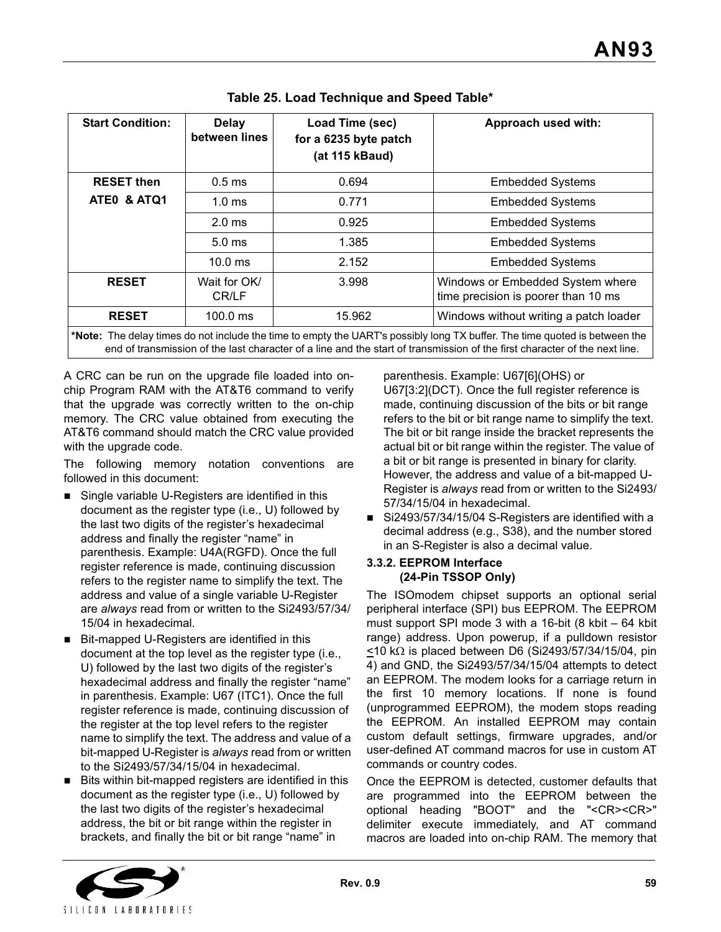| <b>Start Condition:</b>                                                                                                                                                                                                                                  | <b>Delay</b><br>between lines | Load Time (sec)<br>for a 6235 byte patch<br>(at 115 kBaud) | Approach used with:                                                     |  |  |  |  |
|----------------------------------------------------------------------------------------------------------------------------------------------------------------------------------------------------------------------------------------------------------|-------------------------------|------------------------------------------------------------|-------------------------------------------------------------------------|--|--|--|--|
| <b>RESET then</b>                                                                                                                                                                                                                                        | 0.5 <sub>ms</sub>             | 0.694                                                      | <b>Embedded Systems</b>                                                 |  |  |  |  |
| ATEO & ATQ1                                                                                                                                                                                                                                              | 1.0 <sub>ms</sub>             | 0.771                                                      | <b>Embedded Systems</b>                                                 |  |  |  |  |
|                                                                                                                                                                                                                                                          | 2.0 <sub>ms</sub>             | 0.925                                                      | <b>Embedded Systems</b>                                                 |  |  |  |  |
|                                                                                                                                                                                                                                                          | 5.0 <sub>ms</sub>             | 1.385                                                      | <b>Embedded Systems</b>                                                 |  |  |  |  |
|                                                                                                                                                                                                                                                          | $10.0$ ms                     | 2.152                                                      | <b>Embedded Systems</b>                                                 |  |  |  |  |
| <b>RESET</b>                                                                                                                                                                                                                                             | Wait for OK/<br>CR/LF         | 3.998                                                      | Windows or Embedded System where<br>time precision is poorer than 10 ms |  |  |  |  |
| <b>RESET</b>                                                                                                                                                                                                                                             | $100.0$ ms                    | 15.962                                                     | Windows without writing a patch loader                                  |  |  |  |  |
| *Note: The delay times do not include the time to empty the UART's possibly long TX buffer. The time quoted is between the<br>end of transmission of the last character of a line and the start of transmission of the first character of the next line. |                               |                                                            |                                                                         |  |  |  |  |

A CRC can be run on the upgrade file loaded into onchip Program RAM with the AT&T6 command to verify that the upgrade was correctly written to the on-chip memory. The CRC value obtained from executing the AT&T6 command should match the CRC value provided with the upgrade code.

The following memory notation conventions are followed in this document:

- Single variable U-Registers are identified in this document as the register type (i.e., U) followed by the last two digits of the register's hexadecimal address and finally the register "name" in parenthesis. Example: U4A(RGFD). Once the full register reference is made, continuing discussion refers to the register name to simplify the text. The address and value of a single variable U-Register are *always* read from or written to the Si2493/57/34/ 15/04 in hexadecimal.
- Bit-mapped U-Registers are identified in this document at the top level as the register type (i.e., U) followed by the last two digits of the register's hexadecimal address and finally the register "name" in parenthesis. Example: U67 (ITC1). Once the full register reference is made, continuing discussion of the register at the top level refers to the register name to simplify the text. The address and value of a bit-mapped U-Register is *always* read from or written to the Si2493/57/34/15/04 in hexadecimal.
- Bits within bit-mapped registers are identified in this document as the register type (i.e., U) followed by the last two digits of the register's hexadecimal address, the bit or bit range within the register in brackets, and finally the bit or bit range "name" in

parenthesis. Example: U67[6](OHS) or U67[3:2](DCT). Once the full register reference is made, continuing discussion of the bits or bit range refers to the bit or bit range name to simplify the text. The bit or bit range inside the bracket represents the actual bit or bit range within the register. The value of a bit or bit range is presented in binary for clarity. However, the address and value of a bit-mapped U-Register is *always* read from or written to the Si2493/ 57/34/15/04 in hexadecimal.

 Si2493/57/34/15/04 S-Registers are identified with a decimal address (e.g., S38), and the number stored in an S-Register is also a decimal value.

### **3.3.2. EEPROM Interface (24-Pin TSSOP Only)**

The ISOmodem chipset supports an optional serial peripheral interface (SPI) bus EEPROM. The EEPROM must support SPI mode 3 with a 16-bit (8 kbit – 64 kbit range) address. Upon powerup, if a pulldown resistor  $\leq$ 10 k $\Omega$  is placed between D6 (Si2493/57/34/15/04, pin 4) and GND, the Si2493/57/34/15/04 attempts to detect an EEPROM. The modem looks for a carriage return in the first 10 memory locations. If none is found (unprogrammed EEPROM), the modem stops reading the EEPROM. An installed EEPROM may contain custom default settings, firmware upgrades, and/or user-defined AT command macros for use in custom AT commands or country codes.

Once the EEPROM is detected, customer defaults that are programmed into the EEPROM between the optional heading "BOOT" and the "<CR><CR>" delimiter execute immediately, and AT command macros are loaded into on-chip RAM. The memory that

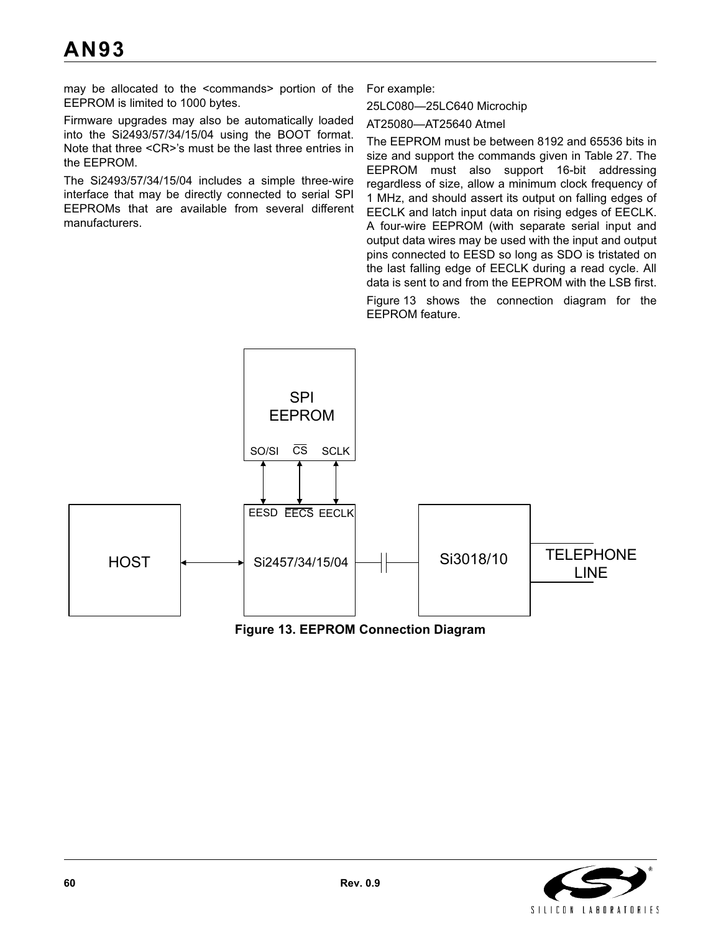may be allocated to the <commands> portion of the EEPROM is limited to 1000 bytes.

Firmware upgrades may also be automatically loaded into the Si2493/57/34/15/04 using the BOOT format. Note that three <CR>'s must be the last three entries in the EEPROM.

The Si2493/57/34/15/04 includes a simple three-wire interface that may be directly connected to serial SPI EEPROMs that are available from several different manufacturers.

For example:

25LC080—25LC640 Microchip

AT25080—AT25640 Atmel

The EEPROM must be between 8192 and 65536 bits in size and support the commands given in Table 27. The EEPROM must also support 16-bit addressing regardless of size, allow a minimum clock frequency of 1 MHz, and should assert its output on falling edges of EECLK and latch input data on rising edges of EECLK. A four-wire EEPROM (with separate serial input and output data wires may be used with the input and output pins connected to EESD so long as SDO is tristated on the last falling edge of EECLK during a read cycle. All data is sent to and from the EEPROM with the LSB first.

Figure 13 shows the connection diagram for the EEPROM feature.





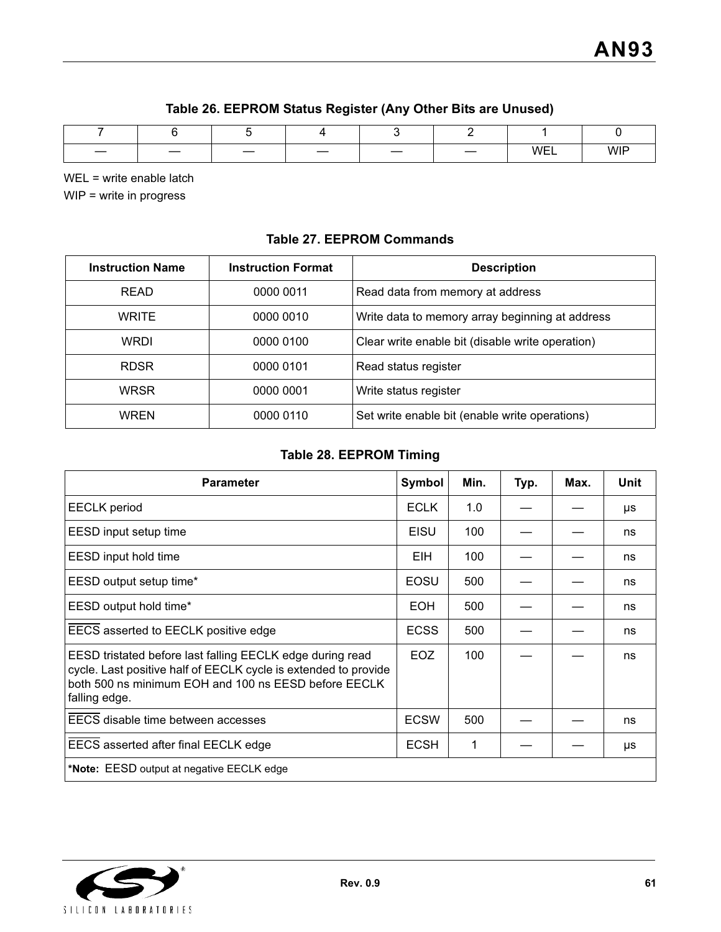| Table 26. EEPROM Status Register (Any Other Bits are Unused) |  |  |  |
|--------------------------------------------------------------|--|--|--|
|--------------------------------------------------------------|--|--|--|

| $\overline{\phantom{a}}$ |  |  | __ | \∧/⊏1<br>. | <b>WIF</b> |
|--------------------------|--|--|----|------------|------------|

WEL = write enable latch

WIP = write in progress

## **Table 27. EEPROM Commands**

| <b>Instruction Name</b> | <b>Instruction Format</b> | <b>Description</b>                               |
|-------------------------|---------------------------|--------------------------------------------------|
| <b>READ</b>             | 0000 0011                 | Read data from memory at address                 |
| <b>WRITE</b>            | 0000 0010                 | Write data to memory array beginning at address  |
| <b>WRDI</b>             | 0000 0100                 | Clear write enable bit (disable write operation) |
| <b>RDSR</b>             | 0000 0101                 | Read status register                             |
| <b>WRSR</b>             | 0000 0001                 | Write status register                            |
| <b>WREN</b>             | 0000 0110                 | Set write enable bit (enable write operations)   |

## **Table 28. EEPROM Timing**

| <b>Parameter</b>                                                                                                                                                                                      | <b>Symbol</b> | Min. | Typ. | Max. | Unit |  |
|-------------------------------------------------------------------------------------------------------------------------------------------------------------------------------------------------------|---------------|------|------|------|------|--|
| <b>EECLK</b> period                                                                                                                                                                                   | <b>ECLK</b>   | 1.0  |      |      | μs   |  |
| EESD input setup time                                                                                                                                                                                 | <b>EISU</b>   | 100  |      |      | ns   |  |
| EESD input hold time                                                                                                                                                                                  | EIH.          | 100  |      |      | ns   |  |
| EESD output setup time*                                                                                                                                                                               | EOSU          | 500  |      |      | ns   |  |
| EESD output hold time*                                                                                                                                                                                | <b>EOH</b>    | 500  |      |      | ns   |  |
| EECS asserted to EECLK positive edge                                                                                                                                                                  | <b>ECSS</b>   | 500  |      |      | ns   |  |
| EESD tristated before last falling EECLK edge during read<br>cycle. Last positive half of EECLK cycle is extended to provide<br>both 500 ns minimum EOH and 100 ns EESD before EECLK<br>falling edge. | EOZ.          | 100  |      |      | ns   |  |
| EECS disable time between accesses                                                                                                                                                                    | <b>ECSW</b>   | 500  |      |      | ns   |  |
| EECS asserted after final EECLK edge                                                                                                                                                                  | <b>ECSH</b>   | 1    |      |      | μs   |  |
| *Note: EESD output at negative EECLK edge                                                                                                                                                             |               |      |      |      |      |  |